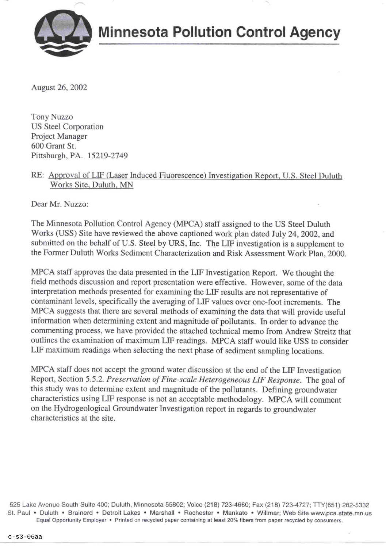

August 26, 2002

**Tony Nuzzo US Steel Corporation** Project Manager 600 Grant St. Pittsburgh, PA. 15219-2749

#### RE: Approval of LIF (Laser Induced Fluorescence) Investigation Report, U.S. Steel Duluth Works Site, Duluth, MN

Dear Mr. Nuzzo:

The Minnesota Pollution Control Agency (MPCA) staff assigned to the US Steel Duluth Works (USS) Site have reviewed the above captioned work plan dated July 24, 2002, and submitted on the behalf of U.S. Steel by URS, Inc. The LIF investigation is a supplement to the Former Duluth Works Sediment Characterization and Risk Assessment Work Plan, 2000.

MPCA staff approves the data presented in the LIF Investigation Report. We thought the field methods discussion and report presentation were effective. However, some of the data interpretation methods presented for examining the LIF results are not representative of contaminant levels, specifically the averaging of LIF values over one-foot increments. The MPCA suggests that there are several methods of examining the data that will provide useful information when determining extent and magnitude of pollutants. In order to advance the commenting process, we have provided the attached technical memo from Andrew Streitz that outlines the examination of maximum LIF readings. MPCA staff would like USS to consider LIF maximum readings when selecting the next phase of sediment sampling locations.

MPCA staff does not accept the ground water discussion at the end of the LIF Investigation Report, Section 5.5.2. Preservation of Fine-scale Heterogeneous LIF Response. The goal of this study was to determine extent and magnitude of the pollutants. Defining groundwater characteristics using LIF response is not an acceptable methodology. MPCA will comment on the Hydrogeological Groundwater Investigation report in regards to groundwater characteristics at the site.

525 Lake Avenue South Suite 400; Duluth, Minnesota 55802; Voice (218) 723-4660; Fax (218) 723-4727; TTY(651) 282-5332 St. Paul • Duluth • Brainerd • Detroit Lakes • Marshall • Rochester • Mankato • Willmar; Web Site www.pca.state.mn.us Equal Opportunity Employer • Printed on recycled paper containing at least 20% fibers from paper recycled by consumers.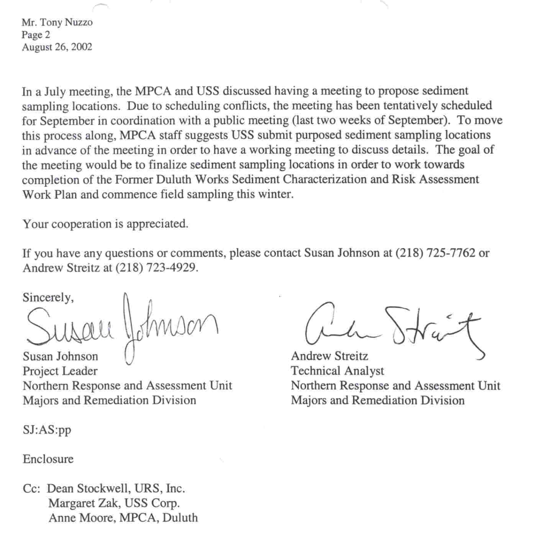Mr. Tony Nuzzo Page 2 August 26, 2002

In a July meeting, the MPCA and USS discussed having a meeting to propose sediment sampling locations. Due to scheduling conflicts, the meeting has been tentatively scheduled for September in coordination with a public meeting (last two weeks of September). To move this process along, MPCA staff suggests USS submit purposed sediment sampling locations in advance of the meeting in order to have a working meeting to discuss details. The goal of the meeting would be to finalize sediment sampling locations in order to work towards completion of the Former Duluth Works Sediment Characterization and Risk Assessment Work Plan and commence field sampling this winter.

Your cooperation is appreciated.

If you have any questions or comments, please contact Susan Johnson at (218) 725-7762 or Andrew Streitz at (218) 723-4929.

Sincerely,

Susan Johnson Project Leader Northern Response and Assessment Unit Majors and Remediation Division

 $SI:AS:pp$ 

Enclosure

Cc: Dean Stockwell, URS, Inc. Margaret Zak, USS Corp. Anne Moore, MPCA, Duluth

**Andrew Streitz Technical Analyst** Northern Response and Assessment Unit Majors and Remediation Division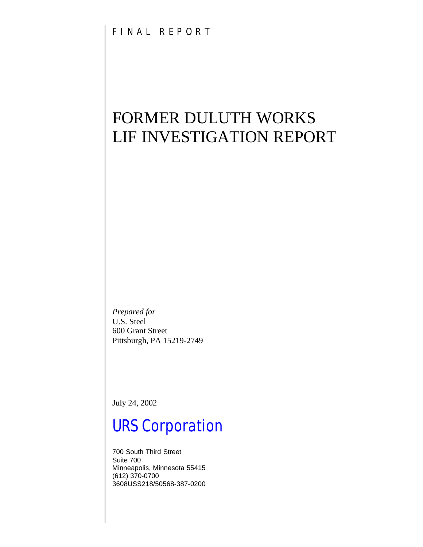# FORMER DULUTH WORKS LIF INVESTIGATION REPORT

*Prepared for* U.S. Steel 600 Grant Street Pittsburgh, PA 15219-2749

July 24, 2002

# *URS Corporation*

700 South Third Street Suite 700 Minneapolis, Minnesota 55415 (612) 370-0700 3608USS218/50568-387-0200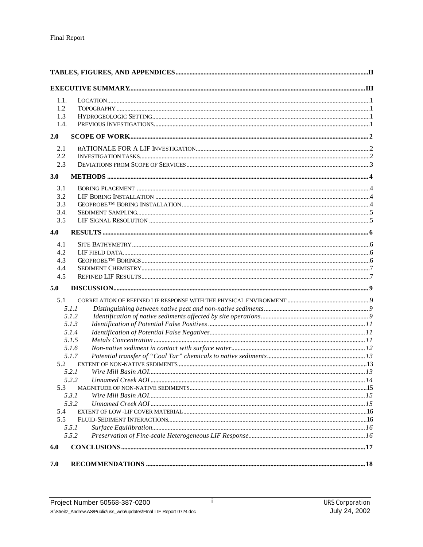| 1.1.<br>1.2<br>1.3<br>1.4.             |                                                                                                                   |  |
|----------------------------------------|-------------------------------------------------------------------------------------------------------------------|--|
| 2.0                                    |                                                                                                                   |  |
| 2.1<br>2.2<br>2.3                      |                                                                                                                   |  |
| 3.0                                    |                                                                                                                   |  |
| 3.1<br>3.2<br>3.3<br>3.4.<br>3.5       |                                                                                                                   |  |
| 4.0                                    |                                                                                                                   |  |
| 4.1<br>4.2<br>4.3<br>4.4<br>4.5<br>5.0 |                                                                                                                   |  |
|                                        |                                                                                                                   |  |
| 5.1<br>5.2<br>5.3<br>5.4<br>5.5        | 5.1.1<br>5.1.2<br>5.1.3<br>5.1.4<br>5.1.5<br>5.1.6<br>5.1.7<br>5.2.1<br>5.2.2<br>5.3.1<br>5.3.2<br>5.5.1<br>5.5.2 |  |
| 6.0                                    |                                                                                                                   |  |
| 7.0                                    |                                                                                                                   |  |

 $\mathbf{i}$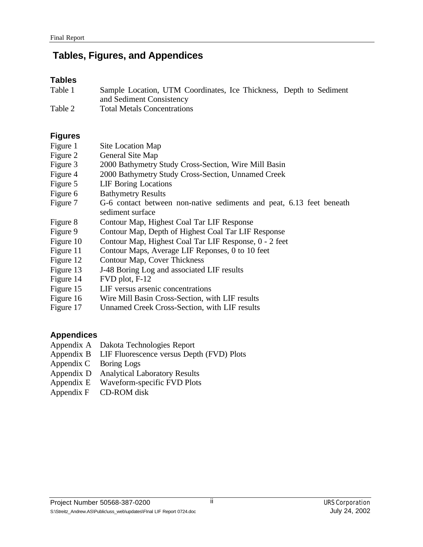# **Tables, Figures, and Appendices**

#### **Tables**

| Table 1 | Sample Location, UTM Coordinates, Ice Thickness, Depth to Sediment |  |  |
|---------|--------------------------------------------------------------------|--|--|
|         | and Sediment Consistency                                           |  |  |
| T11A    | $\mathbf{m}$ . $\mathbf{m}$ . $\mathbf{m}$                         |  |  |

Table 2 Total Metals Concentrations

## **Figures**

| Figure 1 | Site Location Map |
|----------|-------------------|
|----------|-------------------|

- Figure 2 General Site Map
- Figure 3 2000 Bathymetry Study Cross-Section, Wire Mill Basin
- Figure 4 2000 Bathymetry Study Cross-Section, Unnamed Creek
- Figure 5 LIF Boring Locations
- Figure 6 Bathymetry Results
- Figure 7 G-6 contact between non-native sediments and peat, 6.13 feet beneath sediment surface
- Figure 8 Contour Map, Highest Coal Tar LIF Response
- Figure 9 Contour Map, Depth of Highest Coal Tar LIF Response
- Figure 10 Contour Map, Highest Coal Tar LIF Response, 0 2 feet
- Figure 11 Contour Maps, Average LIF Reponses, 0 to 10 feet
- Figure 12 Contour Map, Cover Thickness
- Figure 13 J-48 Boring Log and associated LIF results
- Figure 14 FVD plot, F-12
- Figure 15 LIF versus arsenic concentrations
- Figure 16 Wire Mill Basin Cross-Section, with LIF results
- Figure 17 Unnamed Creek Cross-Section, with LIF results

## **Appendices**

- Appendix A Dakota Technologies Report
- Appendix B LIF Fluorescence versus Depth (FVD) Plots
- Appendix C Boring Logs
- Appendix D Analytical Laboratory Results
- Appendix E Waveform-specific FVD Plots
- Appendix F CD-ROM disk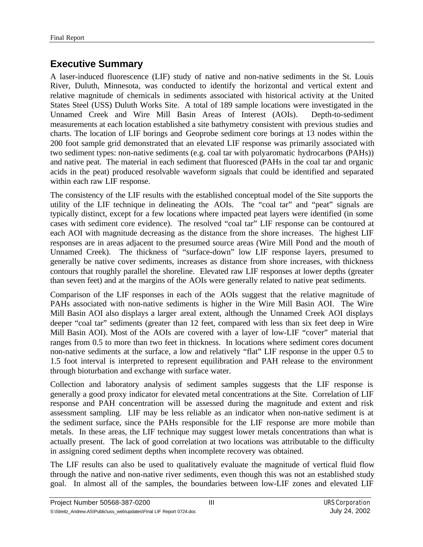# **Executive Summary**

A laser-induced fluorescence (LIF) study of native and non-native sediments in the St. Louis River, Duluth, Minnesota, was conducted to identify the horizontal and vertical extent and relative magnitude of chemicals in sediments associated with historical activity at the United States Steel (USS) Duluth Works Site. A total of 189 sample locations were investigated in the Unnamed Creek and Wire Mill Basin Areas of Interest (AOIs). Depth-to-sediment measurements at each location established a site bathymetry consistent with previous studies and charts. The location of LIF borings and Geoprobe sediment core borings at 13 nodes within the 200 foot sample grid demonstrated that an elevated LIF response was primarily associated with two sediment types: non-native sediments (e.g. coal tar with polyaromatic hydrocarbons (PAHs)) and native peat. The material in each sediment that fluoresced (PAHs in the coal tar and organic acids in the peat) produced resolvable waveform signals that could be identified and separated within each raw LIF response.

The consistency of the LIF results with the established conceptual model of the Site supports the utility of the LIF technique in delineating the AOIs. The "coal tar" and "peat" signals are typically distinct, except for a few locations where impacted peat layers were identified (in some cases with sediment core evidence). The resolved "coal tar" LIF response can be contoured at each AOI with magnitude decreasing as the distance from the shore increases. The highest LIF responses are in areas adjacent to the presumed source areas (Wire Mill Pond and the mouth of Unnamed Creek). The thickness of "surface-down" low LIF response layers, presumed to generally be native cover sediments, increases as distance from shore increases, with thickness contours that roughly parallel the shoreline. Elevated raw LIF responses at lower depths (greater than seven feet) and at the margins of the AOIs were generally related to native peat sediments.

Comparison of the LIF responses in each of the AOIs suggest that the relative magnitude of PAHs associated with non-native sediments is higher in the Wire Mill Basin AOI. The Wire Mill Basin AOI also displays a larger areal extent, although the Unnamed Creek AOI displays deeper "coal tar" sediments (greater than 12 feet, compared with less than six feet deep in Wire Mill Basin AOI). Most of the AOIs are covered with a layer of low-LIF "cover" material that ranges from 0.5 to more than two feet in thickness. In locations where sediment cores document non-native sediments at the surface, a low and relatively "flat" LIF response in the upper 0.5 to 1.5 foot interval is interpreted to represent equilibration and PAH release to the environment through bioturbation and exchange with surface water.

Collection and laboratory analysis of sediment samples suggests that the LIF response is generally a good proxy indicator for elevated metal concentrations at the Site. Correlation of LIF response and PAH concentration will be assessed during the magnitude and extent and risk assessment sampling. LIF may be less reliable as an indicator when non-native sediment is at the sediment surface, since the PAHs responsible for the LIF response are more mobile than metals. In these areas, the LIF technique may suggest lower metals concentrations than what is actually present. The lack of good correlation at two locations was attributable to the difficulty in assigning cored sediment depths when incomplete recovery was obtained.

The LIF results can also be used to qualitatively evaluate the magnitude of vertical fluid flow through the native and non-native river sediments, even though this was not an established study goal. In almost all of the samples, the boundaries between low-LIF zones and elevated LIF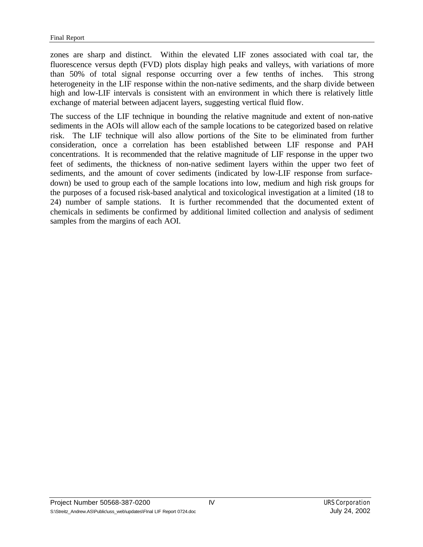zones are sharp and distinct. Within the elevated LIF zones associated with coal tar, the fluorescence versus depth (FVD) plots display high peaks and valleys, with variations of more than 50% of total signal response occurring over a few tenths of inches. This strong heterogeneity in the LIF response within the non-native sediments, and the sharp divide between high and low-LIF intervals is consistent with an environment in which there is relatively little exchange of material between adjacent layers, suggesting vertical fluid flow.

The success of the LIF technique in bounding the relative magnitude and extent of non-native sediments in the AOIs will allow each of the sample locations to be categorized based on relative risk. The LIF technique will also allow portions of the Site to be eliminated from further consideration, once a correlation has been established between LIF response and PAH concentrations. It is recommended that the relative magnitude of LIF response in the upper two feet of sediments, the thickness of non-native sediment layers within the upper two feet of sediments, and the amount of cover sediments (indicated by low-LIF response from surfacedown) be used to group each of the sample locations into low, medium and high risk groups for the purposes of a focused risk-based analytical and toxicological investigation at a limited (18 to 24) number of sample stations. It is further recommended that the documented extent of chemicals in sediments be confirmed by additional limited collection and analysis of sediment samples from the margins of each AOI.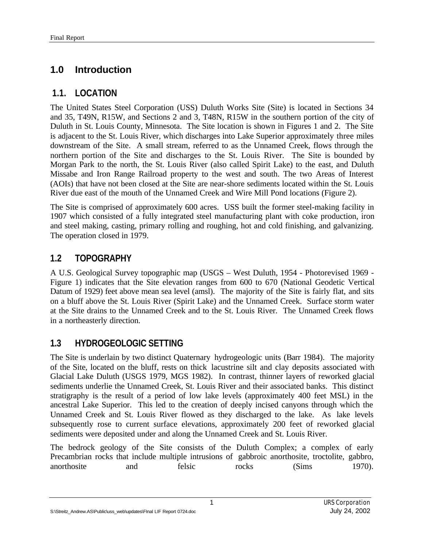# **1.0 Introduction**

## **1.1. LOCATION**

The United States Steel Corporation (USS) Duluth Works Site (Site) is located in Sections 34 and 35, T49N, R15W, and Sections 2 and 3, T48N, R15W in the southern portion of the city of Duluth in St. Louis County, Minnesota. The Site location is shown in Figures 1 and 2. The Site is adjacent to the St. Louis River, which discharges into Lake Superior approximately three miles downstream of the Site. A small stream, referred to as the Unnamed Creek, flows through the northern portion of the Site and discharges to the St. Louis River. The Site is bounded by Morgan Park to the north, the St. Louis River (also called Spirit Lake) to the east, and Duluth Missabe and Iron Range Railroad property to the west and south. The two Areas of Interest (AOIs) that have not been closed at the Site are near-shore sediments located within the St. Louis River due east of the mouth of the Unnamed Creek and Wire Mill Pond locations (Figure 2).

The Site is comprised of approximately 600 acres. USS built the former steel-making facility in 1907 which consisted of a fully integrated steel manufacturing plant with coke production, iron and steel making, casting, primary rolling and roughing, hot and cold finishing, and galvanizing. The operation closed in 1979.

# **1.2 TOPOGRAPHY**

A U.S. Geological Survey topographic map (USGS – West Duluth, 1954 - Photorevised 1969 - Figure 1) indicates that the Site elevation ranges from 600 to 670 (National Geodetic Vertical Datum of 1929) feet above mean sea level (amsl). The majority of the Site is fairly flat, and sits on a bluff above the St. Louis River (Spirit Lake) and the Unnamed Creek. Surface storm water at the Site drains to the Unnamed Creek and to the St. Louis River. The Unnamed Creek flows in a northeasterly direction.

# **1.3 HYDROGEOLOGIC SETTING**

The Site is underlain by two distinct Quaternary hydrogeologic units (Barr 1984). The majority of the Site, located on the bluff, rests on thick lacustrine silt and clay deposits associated with Glacial Lake Duluth (USGS 1979, MGS 1982). In contrast, thinner layers of reworked glacial sediments underlie the Unnamed Creek, St. Louis River and their associated banks. This distinct stratigraphy is the result of a period of low lake levels (approximately 400 feet MSL) in the ancestral Lake Superior. This led to the creation of deeply incised canyons through which the Unnamed Creek and St. Louis River flowed as they discharged to the lake. As lake levels subsequently rose to current surface elevations, approximately 200 feet of reworked glacial sediments were deposited under and along the Unnamed Creek and St. Louis River.

The bedrock geology of the Site consists of the Duluth Complex; a complex of early Precambrian rocks that include multiple intrusions of gabbroic anorthosite, troctolite, gabbro, anorthosite and felsic rocks (Sims 1970).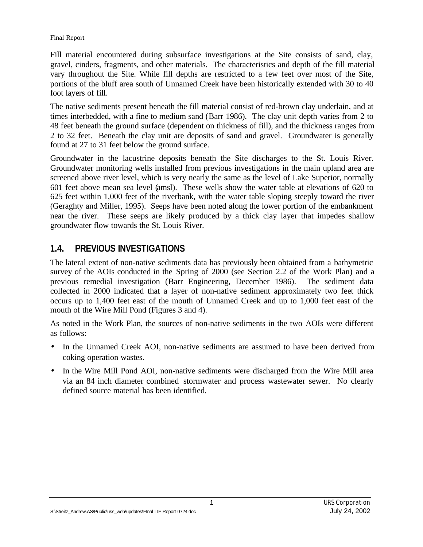Fill material encountered during subsurface investigations at the Site consists of sand, clay, gravel, cinders, fragments, and other materials. The characteristics and depth of the fill material vary throughout the Site. While fill depths are restricted to a few feet over most of the Site, portions of the bluff area south of Unnamed Creek have been historically extended with 30 to 40 foot layers of fill.

The native sediments present beneath the fill material consist of red-brown clay underlain, and at times interbedded, with a fine to medium sand (Barr 1986). The clay unit depth varies from 2 to 48 feet beneath the ground surface (dependent on thickness of fill), and the thickness ranges from 2 to 32 feet. Beneath the clay unit are deposits of sand and gravel. Groundwater is generally found at 27 to 31 feet below the ground surface.

Groundwater in the lacustrine deposits beneath the Site discharges to the St. Louis River. Groundwater monitoring wells installed from previous investigations in the main upland area are screened above river level, which is very nearly the same as the level of Lake Superior, normally 601 feet above mean sea level (amsl). These wells show the water table at elevations of 620 to 625 feet within 1,000 feet of the riverbank, with the water table sloping steeply toward the river (Geraghty and Miller, 1995). Seeps have been noted along the lower portion of the embankment near the river. These seeps are likely produced by a thick clay layer that impedes shallow groundwater flow towards the St. Louis River.

## **1.4. PREVIOUS INVESTIGATIONS**

The lateral extent of non-native sediments data has previously been obtained from a bathymetric survey of the AOIs conducted in the Spring of 2000 (see Section 2.2 of the Work Plan) and a previous remedial investigation (Barr Engineering, December 1986). The sediment data collected in 2000 indicated that a layer of non-native sediment approximately two feet thick occurs up to 1,400 feet east of the mouth of Unnamed Creek and up to 1,000 feet east of the mouth of the Wire Mill Pond (Figures 3 and 4).

As noted in the Work Plan, the sources of non-native sediments in the two AOIs were different as follows:

- In the Unnamed Creek AOI, non-native sediments are assumed to have been derived from coking operation wastes.
- In the Wire Mill Pond AOI, non-native sediments were discharged from the Wire Mill area via an 84 inch diameter combined stormwater and process wastewater sewer. No clearly defined source material has been identified.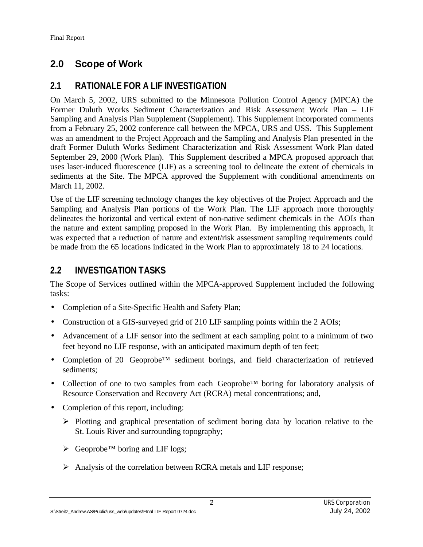# **2.0 Scope of Work**

## **2.1 RATIONALE FOR A LIF INVESTIGATION**

On March 5, 2002, URS submitted to the Minnesota Pollution Control Agency (MPCA) the Former Duluth Works Sediment Characterization and Risk Assessment Work Plan – LIF Sampling and Analysis Plan Supplement (Supplement). This Supplement incorporated comments from a February 25, 2002 conference call between the MPCA, URS and USS. This Supplement was an amendment to the Project Approach and the Sampling and Analysis Plan presented in the draft Former Duluth Works Sediment Characterization and Risk Assessment Work Plan dated September 29, 2000 (Work Plan). This Supplement described a MPCA proposed approach that uses laser-induced fluorescence (LIF) as a screening tool to delineate the extent of chemicals in sediments at the Site. The MPCA approved the Supplement with conditional amendments on March 11, 2002.

Use of the LIF screening technology changes the key objectives of the Project Approach and the Sampling and Analysis Plan portions of the Work Plan. The LIF approach more thoroughly delineates the horizontal and vertical extent of non-native sediment chemicals in the AOIs than the nature and extent sampling proposed in the Work Plan. By implementing this approach, it was expected that a reduction of nature and extent/risk assessment sampling requirements could be made from the 65 locations indicated in the Work Plan to approximately 18 to 24 locations.

## **2.2 INVESTIGATION TASKS**

The Scope of Services outlined within the MPCA-approved Supplement included the following tasks:

- Completion of a Site-Specific Health and Safety Plan;
- Construction of a GIS-surveyed grid of 210 LIF sampling points within the 2 AOIs;
- Advancement of a LIF sensor into the sediment at each sampling point to a minimum of two feet beyond no LIF response, with an anticipated maximum depth of ten feet;
- Completion of 20 Geoprobe™ sediment borings, and field characterization of retrieved sediments;
- Collection of one to two samples from each Geoprobe™ boring for laboratory analysis of Resource Conservation and Recovery Act (RCRA) metal concentrations; and,
- Completion of this report, including:
	- $\triangleright$  Plotting and graphical presentation of sediment boring data by location relative to the St. Louis River and surrounding topography;
	- ÿ Geoprobe™ boring and LIF logs;
	- $\triangleright$  Analysis of the correlation between RCRA metals and LIF response;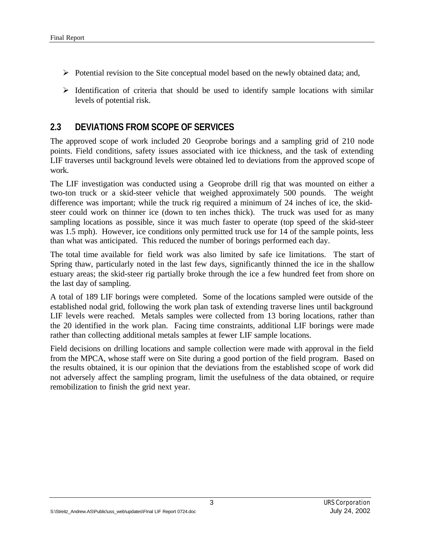- $\triangleright$  Potential revision to the Site conceptual model based on the newly obtained data; and,
- $\triangleright$  Identification of criteria that should be used to identify sample locations with similar levels of potential risk.

#### **2.3 DEVIATIONS FROM SCOPE OF SERVICES**

The approved scope of work included 20 Geoprobe borings and a sampling grid of 210 node points. Field conditions, safety issues associated with ice thickness, and the task of extending LIF traverses until background levels were obtained led to deviations from the approved scope of work.

The LIF investigation was conducted using a Geoprobe drill rig that was mounted on either a two-ton truck or a skid-steer vehicle that weighed approximately 500 pounds. The weight difference was important; while the truck rig required a minimum of 24 inches of ice, the skidsteer could work on thinner ice (down to ten inches thick). The truck was used for as many sampling locations as possible, since it was much faster to operate (top speed of the skid-steer was 1.5 mph). However, ice conditions only permitted truck use for 14 of the sample points, less than what was anticipated. This reduced the number of borings performed each day.

The total time available for field work was also limited by safe ice limitations. The start of Spring thaw, particularly noted in the last few days, significantly thinned the ice in the shallow estuary areas; the skid-steer rig partially broke through the ice a few hundred feet from shore on the last day of sampling.

A total of 189 LIF borings were completed. Some of the locations sampled were outside of the established nodal grid, following the work plan task of extending traverse lines until background LIF levels were reached. Metals samples were collected from 13 boring locations, rather than the 20 identified in the work plan. Facing time constraints, additional LIF borings were made rather than collecting additional metals samples at fewer LIF sample locations.

Field decisions on drilling locations and sample collection were made with approval in the field from the MPCA, whose staff were on Site during a good portion of the field program. Based on the results obtained, it is our opinion that the deviations from the established scope of work did not adversely affect the sampling program, limit the usefulness of the data obtained, or require remobilization to finish the grid next year.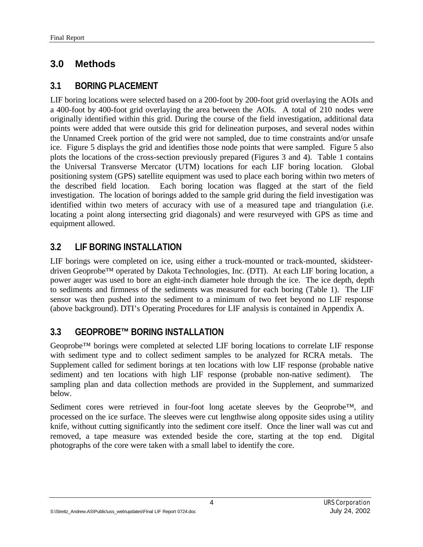# **3.0 Methods**

## **3.1 BORING PLACEMENT**

LIF boring locations were selected based on a 200-foot by 200-foot grid overlaying the AOIs and a 400-foot by 400-foot grid overlaying the area between the AOIs. A total of 210 nodes were originally identified within this grid. During the course of the field investigation, additional data points were added that were outside this grid for delineation purposes, and several nodes within the Unnamed Creek portion of the grid were not sampled, due to time constraints and/or unsafe ice. Figure 5 displays the grid and identifies those node points that were sampled. Figure 5 also plots the locations of the cross-section previously prepared (Figures 3 and 4). Table 1 contains the Universal Transverse Mercator (UTM) locations for each LIF boring location. Global positioning system (GPS) satellite equipment was used to place each boring within two meters of the described field location. Each boring location was flagged at the start of the field investigation. The location of borings added to the sample grid during the field investigation was identified within two meters of accuracy with use of a measured tape and triangulation (i.e. locating a point along intersecting grid diagonals) and were resurveyed with GPS as time and equipment allowed.

# **3.2 LIF BORING INSTALLATION**

LIF borings were completed on ice, using either a truck-mounted or track-mounted, skidsteerdriven Geoprobe™ operated by Dakota Technologies, Inc. (DTI). At each LIF boring location, a power auger was used to bore an eight-inch diameter hole through the ice. The ice depth, depth to sediments and firmness of the sediments was measured for each boring (Table 1). The LIF sensor was then pushed into the sediment to a minimum of two feet beyond no LIF response (above background). DTI's Operating Procedures for LIF analysis is contained in Appendix A.

# **3.3 GEOPROBE™ BORING INSTALLATION**

Geoprobe™ borings were completed at selected LIF boring locations to correlate LIF response with sediment type and to collect sediment samples to be analyzed for RCRA metals. The Supplement called for sediment borings at ten locations with low LIF response (probable native sediment) and ten locations with high LIF response (probable non-native sediment). The sampling plan and data collection methods are provided in the Supplement, and summarized below.

Sediment cores were retrieved in four-foot long acetate sleeves by the Geoprobe™, and processed on the ice surface. The sleeves were cut lengthwise along opposite sides using a utility knife, without cutting significantly into the sediment core itself. Once the liner wall was cut and removed, a tape measure was extended beside the core, starting at the top end. Digital photographs of the core were taken with a small label to identify the core.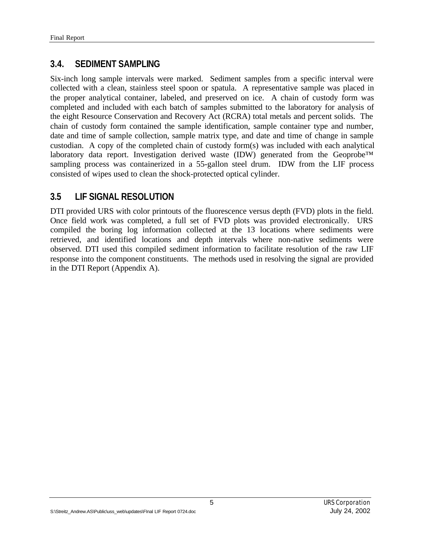## **3.4. SEDIMENT SAMPLING**

Six-inch long sample intervals were marked. Sediment samples from a specific interval were collected with a clean, stainless steel spoon or spatula. A representative sample was placed in the proper analytical container, labeled, and preserved on ice. A chain of custody form was completed and included with each batch of samples submitted to the laboratory for analysis of the eight Resource Conservation and Recovery Act (RCRA) total metals and percent solids. The chain of custody form contained the sample identification, sample container type and number, date and time of sample collection, sample matrix type, and date and time of change in sample custodian. A copy of the completed chain of custody form(s) was included with each analytical laboratory data report. Investigation derived waste (IDW) generated from the Geoprobe™ sampling process was containerized in a 55-gallon steel drum. IDW from the LIF process consisted of wipes used to clean the shock-protected optical cylinder.

## **3.5 LIF SIGNAL RESOLUTION**

DTI provided URS with color printouts of the fluorescence versus depth (FVD) plots in the field. Once field work was completed, a full set of FVD plots was provided electronically. URS compiled the boring log information collected at the 13 locations where sediments were retrieved, and identified locations and depth intervals where non-native sediments were observed. DTI used this compiled sediment information to facilitate resolution of the raw LIF response into the component constituents. The methods used in resolving the signal are provided in the DTI Report (Appendix A).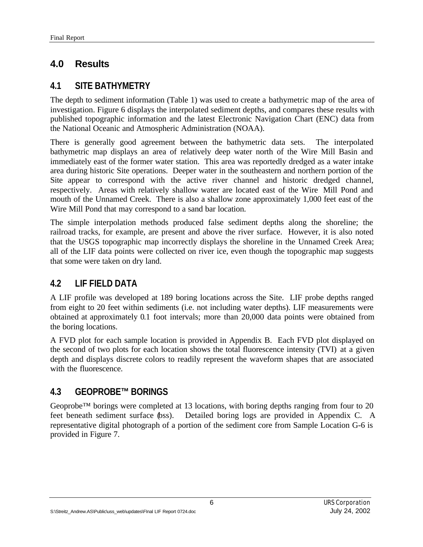# **4.0 Results**

## **4.1 SITE BATHYMETRY**

The depth to sediment information (Table 1) was used to create a bathymetric map of the area of investigation. Figure 6 displays the interpolated sediment depths, and compares these results with published topographic information and the latest Electronic Navigation Chart (ENC) data from the National Oceanic and Atmospheric Administration (NOAA).

There is generally good agreement between the bathymetric data sets. The interpolated bathymetric map displays an area of relatively deep water north of the Wire Mill Basin and immediately east of the former water station. This area was reportedly dredged as a water intake area during historic Site operations. Deeper water in the southeastern and northern portion of the Site appear to correspond with the active river channel and historic dredged channel, respectively. Areas with relatively shallow water are located east of the Wire Mill Pond and mouth of the Unnamed Creek. There is also a shallow zone approximately 1,000 feet east of the Wire Mill Pond that may correspond to a sand bar location.

The simple interpolation methods produced false sediment depths along the shoreline; the railroad tracks, for example, are present and above the river surface. However, it is also noted that the USGS topographic map incorrectly displays the shoreline in the Unnamed Creek Area; all of the LIF data points were collected on river ice, even though the topographic map suggests that some were taken on dry land.

## **4.2 LIF FIELD DATA**

A LIF profile was developed at 189 boring locations across the Site. LIF probe depths ranged from eight to 20 feet within sediments (i.e. not including water depths). LIF measurements were obtained at approximately 0.1 foot intervals; more than 20,000 data points were obtained from the boring locations.

A FVD plot for each sample location is provided in Appendix B. Each FVD plot displayed on the second of two plots for each location shows the total fluorescence intensity (TVI) at a given depth and displays discrete colors to readily represent the waveform shapes that are associated with the fluorescence.

## **4.3 GEOPROBE™ BORINGS**

Geoprobe<sup>™</sup> borings were completed at 13 locations, with boring depths ranging from four to 20 feet beneath sediment surface (bss). Detailed boring logs are provided in Appendix C. A representative digital photograph of a portion of the sediment core from Sample Location G-6 is provided in Figure 7.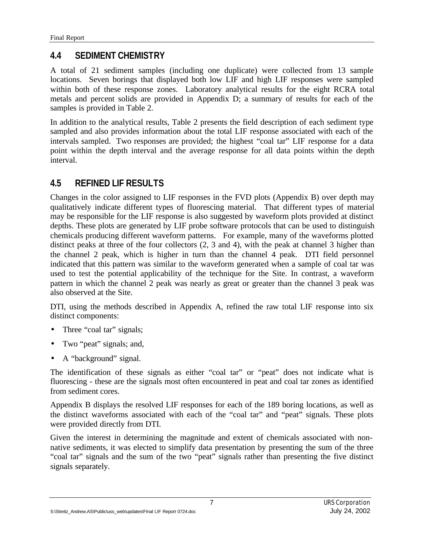## **4.4 SEDIMENT CHEMISTRY**

A total of 21 sediment samples (including one duplicate) were collected from 13 sample locations. Seven borings that displayed both low LIF and high LIF responses were sampled within both of these response zones. Laboratory analytical results for the eight RCRA total metals and percent solids are provided in Appendix D; a summary of results for each of the samples is provided in Table 2.

In addition to the analytical results, Table 2 presents the field description of each sediment type sampled and also provides information about the total LIF response associated with each of the intervals sampled. Two responses are provided; the highest "coal tar" LIF response for a data point within the depth interval and the average response for all data points within the depth interval.

# **4.5 REFINED LIF RESULTS**

Changes in the color assigned to LIF responses in the FVD plots (Appendix B) over depth may qualitatively indicate different types of fluorescing material. That different types of material may be responsible for the LIF response is also suggested by waveform plots provided at distinct depths. These plots are generated by LIF probe software protocols that can be used to distinguish chemicals producing different waveform patterns. For example, many of the waveforms plotted distinct peaks at three of the four collectors (2, 3 and 4), with the peak at channel 3 higher than the channel 2 peak, which is higher in turn than the channel 4 peak. DTI field personnel indicated that this pattern was similar to the waveform generated when a sample of coal tar was used to test the potential applicability of the technique for the Site. In contrast, a waveform pattern in which the channel 2 peak was nearly as great or greater than the channel 3 peak was also observed at the Site.

DTI, using the methods described in Appendix A, refined the raw total LIF response into six distinct components:

- Three "coal tar" signals;
- Two "peat" signals; and,
- A "background" signal.

The identification of these signals as either "coal tar" or "peat" does not indicate what is fluorescing - these are the signals most often encountered in peat and coal tar zones as identified from sediment cores.

Appendix B displays the resolved LIF responses for each of the 189 boring locations, as well as the distinct waveforms associated with each of the "coal tar" and "peat" signals. These plots were provided directly from DTI.

Given the interest in determining the magnitude and extent of chemicals associated with nonnative sediments, it was elected to simplify data presentation by presenting the sum of the three "coal tar" signals and the sum of the two "peat" signals rather than presenting the five distinct signals separately.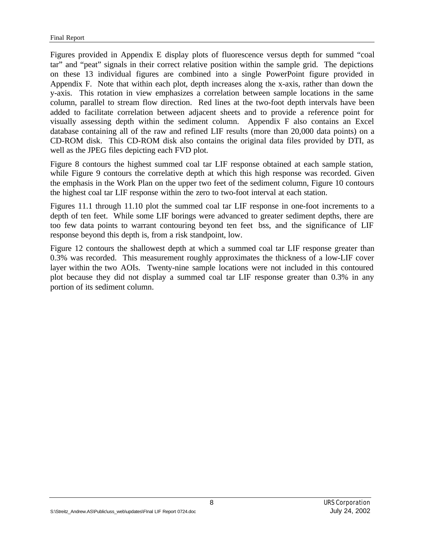Figures provided in Appendix E display plots of fluorescence versus depth for summed "coal tar" and "peat" signals in their correct relative position within the sample grid. The depictions on these 13 individual figures are combined into a single PowerPoint figure provided in Appendix F. Note that within each plot, depth increases along the x-axis, rather than down the y-axis. This rotation in view emphasizes a correlation between sample locations in the same column, parallel to stream flow direction. Red lines at the two-foot depth intervals have been added to facilitate correlation between adjacent sheets and to provide a reference point for visually assessing depth within the sediment column. Appendix F also contains an Excel database containing all of the raw and refined LIF results (more than 20,000 data points) on a CD-ROM disk. This CD-ROM disk also contains the original data files provided by DTI, as well as the JPEG files depicting each FVD plot.

Figure 8 contours the highest summed coal tar LIF response obtained at each sample station, while Figure 9 contours the correlative depth at which this high response was recorded. Given the emphasis in the Work Plan on the upper two feet of the sediment column, Figure 10 contours the highest coal tar LIF response within the zero to two-foot interval at each station.

Figures 11.1 through 11.10 plot the summed coal tar LIF response in one-foot increments to a depth of ten feet. While some LIF borings were advanced to greater sediment depths, there are too few data points to warrant contouring beyond ten feet bss, and the significance of LIF response beyond this depth is, from a risk standpoint, low.

Figure 12 contours the shallowest depth at which a summed coal tar LIF response greater than 0.3% was recorded. This measurement roughly approximates the thickness of a low-LIF cover layer within the two AOIs. Twenty-nine sample locations were not included in this contoured plot because they did not display a summed coal tar LIF response greater than 0.3% in any portion of its sediment column.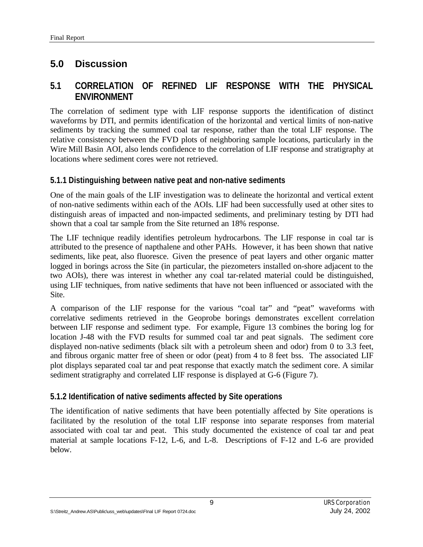# **5.0 Discussion**

## **5.1 CORRELATION OF REFINED LIF RESPONSE WITH THE PHYSICAL ENVIRONMENT**

The correlation of sediment type with LIF response supports the identification of distinct waveforms by DTI, and permits identification of the horizontal and vertical limits of non-native sediments by tracking the summed coal tar response, rather than the total LIF response. The relative consistency between the FVD plots of neighboring sample locations, particularly in the Wire Mill Basin AOI, also lends confidence to the correlation of LIF response and stratigraphy at locations where sediment cores were not retrieved.

#### **5.1.1 Distinguishing between native peat and non-native sediments**

One of the main goals of the LIF investigation was to delineate the horizontal and vertical extent of non-native sediments within each of the AOIs. LIF had been successfully used at other sites to distinguish areas of impacted and non-impacted sediments, and preliminary testing by DTI had shown that a coal tar sample from the Site returned an 18% response.

The LIF technique readily identifies petroleum hydrocarbons. The LIF response in coal tar is attributed to the presence of napthalene and other PAHs. However, it has been shown that native sediments, like peat, also fluoresce. Given the presence of peat layers and other organic matter logged in borings across the Site (in particular, the piezometers installed on-shore adjacent to the two AOIs), there was interest in whether any coal tar-related material could be distinguished, using LIF techniques, from native sediments that have not been influenced or associated with the Site.

A comparison of the LIF response for the various "coal tar" and "peat" waveforms with correlative sediments retrieved in the Geoprobe borings demonstrates excellent correlation between LIF response and sediment type. For example, Figure 13 combines the boring log for location J-48 with the FVD results for summed coal tar and peat signals. The sediment core displayed non-native sediments (black silt with a petroleum sheen and odor) from 0 to 3.3 feet, and fibrous organic matter free of sheen or odor (peat) from 4 to 8 feet bss. The associated LIF plot displays separated coal tar and peat response that exactly match the sediment core. A similar sediment stratigraphy and correlated LIF response is displayed at G-6 (Figure 7).

#### **5.1.2 Identification of native sediments affected by Site operations**

The identification of native sediments that have been potentially affected by Site operations is facilitated by the resolution of the total LIF response into separate responses from material associated with coal tar and peat. This study documented the existence of coal tar and peat material at sample locations F-12, L-6, and L-8. Descriptions of F-12 and L-6 are provided below.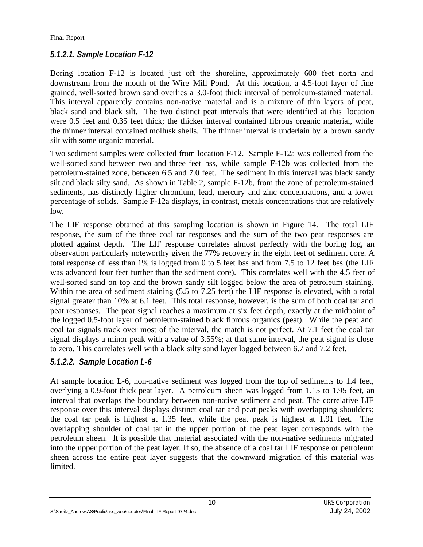## *5.1.2.1. Sample Location F-12*

Boring location F-12 is located just off the shoreline, approximately 600 feet north and downstream from the mouth of the Wire Mill Pond. At this location, a 4.5-foot layer of fine grained, well-sorted brown sand overlies a 3.0-foot thick interval of petroleum-stained material. This interval apparently contains non-native material and is a mixture of thin layers of peat, black sand and black silt. The two distinct peat intervals that were identified at this location were 0.5 feet and 0.35 feet thick; the thicker interval contained fibrous organic material, while the thinner interval contained mollusk shells. The thinner interval is underlain by a brown sandy silt with some organic material.

Two sediment samples were collected from location F-12. Sample F-12a was collected from the well-sorted sand between two and three feet bss, while sample F-12b was collected from the petroleum-stained zone, between 6.5 and 7.0 feet. The sediment in this interval was black sandy silt and black silty sand. As shown in Table 2, sample F-12b, from the zone of petroleum-stained sediments, has distinctly higher chromium, lead, mercury and zinc concentrations, and a lower percentage of solids. Sample F-12a displays, in contrast, metals concentrations that are relatively low.

The LIF response obtained at this sampling location is shown in Figure 14. The total LIF response, the sum of the three coal tar responses and the sum of the two peat responses are plotted against depth. The LIF response correlates almost perfectly with the boring log, an observation particularly noteworthy given the 77% recovery in the eight feet of sediment core. A total response of less than 1% is logged from 0 to 5 feet bss and from 7.5 to 12 feet bss (the LIF was advanced four feet further than the sediment core). This correlates well with the 4.5 feet of well-sorted sand on top and the brown sandy silt logged below the area of petroleum staining. Within the area of sediment staining (5.5 to 7.25 feet) the LIF response is elevated, with a total signal greater than 10% at 6.1 feet. This total response, however, is the sum of both coal tar and peat responses. The peat signal reaches a maximum at six feet depth, exactly at the midpoint of the logged 0.5-foot layer of petroleum-stained black fibrous organics (peat). While the peat and coal tar signals track over most of the interval, the match is not perfect. At 7.1 feet the coal tar signal displays a minor peak with a value of 3.55%; at that same interval, the peat signal is close to zero. This correlates well with a black silty sand layer logged between 6.7 and 7.2 feet.

## *5.1.2.2. Sample Location L-6*

At sample location L-6, non-native sediment was logged from the top of sediments to 1.4 feet, overlying a 0.9-foot thick peat layer. A petroleum sheen was logged from 1.15 to 1.95 feet, an interval that overlaps the boundary between non-native sediment and peat. The correlative LIF response over this interval displays distinct coal tar and peat peaks with overlapping shoulders; the coal tar peak is highest at 1.35 feet, while the peat peak is highest at 1.91 feet. The overlapping shoulder of coal tar in the upper portion of the peat layer corresponds with the petroleum sheen. It is possible that material associated with the non-native sediments migrated into the upper portion of the peat layer. If so, the absence of a coal tar LIF response or petroleum sheen across the entire peat layer suggests that the downward migration of this material was limited.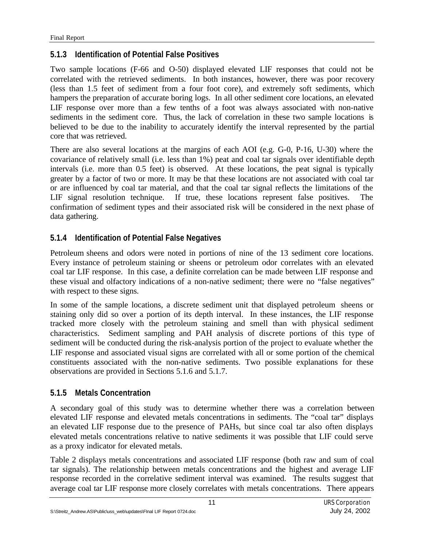## **5.1.3 Identification of Potential False Positives**

Two sample locations (F-66 and O-50) displayed elevated LIF responses that could not be correlated with the retrieved sediments. In both instances, however, there was poor recovery (less than 1.5 feet of sediment from a four foot core), and extremely soft sediments, which hampers the preparation of accurate boring logs. In all other sediment core locations, an elevated LIF response over more than a few tenths of a foot was always associated with non-native sediments in the sediment core. Thus, the lack of correlation in these two sample locations is believed to be due to the inability to accurately identify the interval represented by the partial core that was retrieved.

There are also several locations at the margins of each AOI (e.g. G-0, P-16, U-30) where the covariance of relatively small (i.e. less than 1%) peat and coal tar signals over identifiable depth intervals (i.e. more than 0.5 feet) is observed. At these locations, the peat signal is typically greater by a factor of two or more. It may be that these locations are not associated with coal tar or are influenced by coal tar material, and that the coal tar signal reflects the limitations of the LIF signal resolution technique. If true, these locations represent false positives. The confirmation of sediment types and their associated risk will be considered in the next phase of data gathering.

## **5.1.4 Identification of Potential False Negatives**

Petroleum sheens and odors were noted in portions of nine of the 13 sediment core locations. Every instance of petroleum staining or sheens or petroleum odor correlates with an elevated coal tar LIF response. In this case, a definite correlation can be made between LIF response and these visual and olfactory indications of a non-native sediment; there were no "false negatives" with respect to these signs.

In some of the sample locations, a discrete sediment unit that displayed petroleum sheens or staining only did so over a portion of its depth interval. In these instances, the LIF response tracked more closely with the petroleum staining and smell than with physical sediment characteristics. Sediment sampling and PAH analysis of discrete portions of this type of sediment will be conducted during the risk-analysis portion of the project to evaluate whether the LIF response and associated visual signs are correlated with all or some portion of the chemical constituents associated with the non-native sediments. Two possible explanations for these observations are provided in Sections 5.1.6 and 5.1.7.

## **5.1.5 Metals Concentration**

A secondary goal of this study was to determine whether there was a correlation between elevated LIF response and elevated metals concentrations in sediments. The "coal tar" displays an elevated LIF response due to the presence of PAHs, but since coal tar also often displays elevated metals concentrations relative to native sediments it was possible that LIF could serve as a proxy indicator for elevated metals.

Table 2 displays metals concentrations and associated LIF response (both raw and sum of coal tar signals). The relationship between metals concentrations and the highest and average LIF response recorded in the correlative sediment interval was examined. The results suggest that average coal tar LIF response more closely correlates with metals concentrations. There appears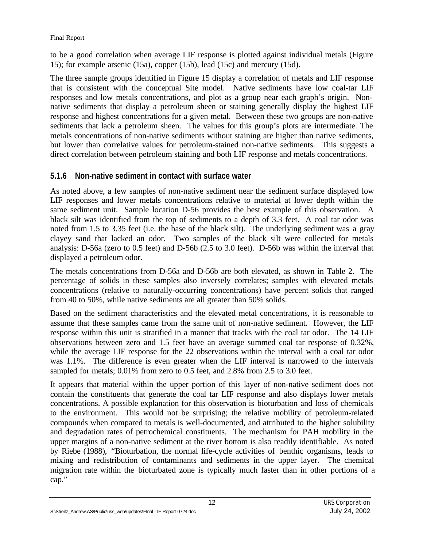to be a good correlation when average LIF response is plotted against individual metals (Figure 15); for example arsenic (15a), copper (15b), lead (15c) and mercury (15d).

The three sample groups identified in Figure 15 display a correlation of metals and LIF response that is consistent with the conceptual Site model. Native sediments have low coal-tar LIF responses and low metals concentrations, and plot as a group near each graph's origin. Nonnative sediments that display a petroleum sheen or staining generally display the highest LIF response and highest concentrations for a given metal. Between these two groups are non-native sediments that lack a petroleum sheen. The values for this group's plots are intermediate. The metals concentrations of non-native sediments without staining are higher than native sediments, but lower than correlative values for petroleum-stained non-native sediments. This suggests a direct correlation between petroleum staining and both LIF response and metals concentrations.

#### **5.1.6 Non-native sediment in contact with surface water**

As noted above, a few samples of non-native sediment near the sediment surface displayed low LIF responses and lower metals concentrations relative to material at lower depth within the same sediment unit. Sample location D-56 provides the best example of this observation. A black silt was identified from the top of sediments to a depth of 3.3 feet. A coal tar odor was noted from 1.5 to 3.35 feet (i.e. the base of the black silt). The underlying sediment was a gray clayey sand that lacked an odor. Two samples of the black silt were collected for metals analysis: D-56a (zero to 0.5 feet) and D-56b (2.5 to 3.0 feet). D-56b was within the interval that displayed a petroleum odor.

The metals concentrations from D-56a and D-56b are both elevated, as shown in Table 2. The percentage of solids in these samples also inversely correlates; samples with elevated metals concentrations (relative to naturally-occurring concentrations) have percent solids that ranged from 40 to 50%, while native sediments are all greater than 50% solids.

Based on the sediment characteristics and the elevated metal concentrations, it is reasonable to assume that these samples came from the same unit of non-native sediment. However, the LIF response within this unit is stratified in a manner that tracks with the coal tar odor. The 14 LIF observations between zero and 1.5 feet have an average summed coal tar response of 0.32%, while the average LIF response for the 22 observations within the interval with a coal tar odor was 1.1%. The difference is even greater when the LIF interval is narrowed to the intervals sampled for metals; 0.01% from zero to 0.5 feet, and 2.8% from 2.5 to 3.0 feet.

It appears that material within the upper portion of this layer of non-native sediment does not contain the constituents that generate the coal tar LIF response and also displays lower metals concentrations. A possible explanation for this observation is bioturbation and loss of chemicals to the environment. This would not be surprising; the relative mobility of petroleum-related compounds when compared to metals is well-documented, and attributed to the higher solubility and degradation rates of petrochemical constituents. The mechanism for PAH mobility in the upper margins of a non-native sediment at the river bottom is also readily identifiable. As noted by Riebe (1988), "Bioturbation, the normal life-cycle activities of benthic organisms, leads to mixing and redistribution of contaminants and sediments in the upper layer. The chemical migration rate within the bioturbated zone is typically much faster than in other portions of a cap."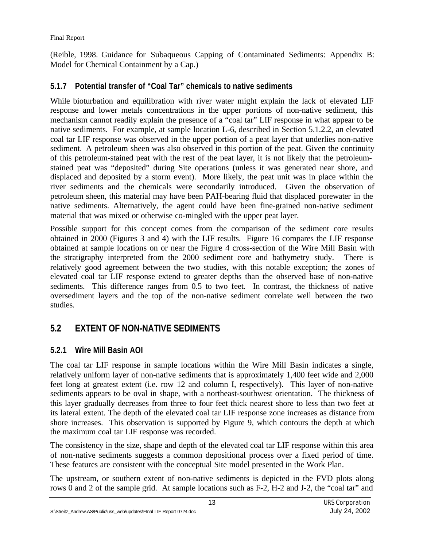(Reible, 1998. Guidance for Subaqueous Capping of Contaminated Sediments: Appendix B: Model for Chemical Containment by a Cap.)

#### **5.1.7 Potential transfer of "Coal Tar" chemicals to native sediments**

While bioturbation and equilibration with river water might explain the lack of elevated LIF response and lower metals concentrations in the upper portions of non-native sediment, this mechanism cannot readily explain the presence of a "coal tar" LIF response in what appear to be native sediments. For example, at sample location L-6, described in Section 5.1.2.2, an elevated coal tar LIF response was observed in the upper portion of a peat layer that underlies non-native sediment. A petroleum sheen was also observed in this portion of the peat. Given the continuity of this petroleum-stained peat with the rest of the peat layer, it is not likely that the petroleumstained peat was "deposited" during Site operations (unless it was generated near shore, and displaced and deposited by a storm event). More likely, the peat unit was in place within the river sediments and the chemicals were secondarily introduced. Given the observation of petroleum sheen, this material may have been PAH-bearing fluid that displaced porewater in the native sediments. Alternatively, the agent could have been fine-grained non-native sediment material that was mixed or otherwise co-mingled with the upper peat layer.

Possible support for this concept comes from the comparison of the sediment core results obtained in 2000 (Figures 3 and 4) with the LIF results. Figure 16 compares the LIF response obtained at sample locations on or near the Figure 4 cross-section of the Wire Mill Basin with the stratigraphy interpreted from the 2000 sediment core and bathymetry study. There is relatively good agreement between the two studies, with this notable exception; the zones of elevated coal tar LIF response extend to greater depths than the observed base of non-native sediments. This difference ranges from 0.5 to two feet. In contrast, the thickness of native oversediment layers and the top of the non-native sediment correlate well between the two studies.

# **5.2 EXTENT OF NON-NATIVE SEDIMENTS**

## **5.2.1 Wire Mill Basin AOI**

The coal tar LIF response in sample locations within the Wire Mill Basin indicates a single, relatively uniform layer of non-native sediments that is approximately 1,400 feet wide and 2,000 feet long at greatest extent (i.e. row 12 and column I, respectively). This layer of non-native sediments appears to be oval in shape, with a northeast-southwest orientation. The thickness of this layer gradually decreases from three to four feet thick nearest shore to less than two feet at its lateral extent. The depth of the elevated coal tar LIF response zone increases as distance from shore increases. This observation is supported by Figure 9, which contours the depth at which the maximum coal tar LIF response was recorded.

The consistency in the size, shape and depth of the elevated coal tar LIF response within this area of non-native sediments suggests a common depositional process over a fixed period of time. These features are consistent with the conceptual Site model presented in the Work Plan.

The upstream, or southern extent of non-native sediments is depicted in the FVD plots along rows 0 and 2 of the sample grid. At sample locations such as F-2, H-2 and J-2, the "coal tar" and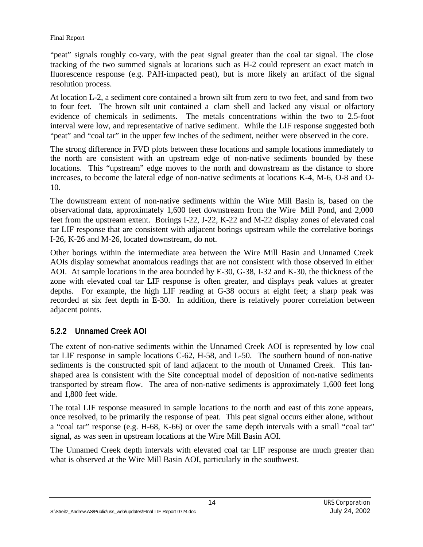"peat" signals roughly co-vary, with the peat signal greater than the coal tar signal. The close tracking of the two summed signals at locations such as H-2 could represent an exact match in fluorescence response (e.g. PAH-impacted peat), but is more likely an artifact of the signal resolution process.

At location L-2, a sediment core contained a brown silt from zero to two feet, and sand from two to four feet. The brown silt unit contained a clam shell and lacked any visual or olfactory evidence of chemicals in sediments. The metals concentrations within the two to 2.5-foot interval were low, and representative of native sediment. While the LIF response suggested both "peat" and "coal tar" in the upper few inches of the sediment, neither were observed in the core.

The strong difference in FVD plots between these locations and sample locations immediately to the north are consistent with an upstream edge of non-native sediments bounded by these locations. This "upstream" edge moves to the north and downstream as the distance to shore increases, to become the lateral edge of non-native sediments at locations K-4, M-6, O-8 and O-10.

The downstream extent of non-native sediments within the Wire Mill Basin is, based on the observational data, approximately 1,600 feet downstream from the Wire Mill Pond, and 2,000 feet from the upstream extent. Borings I-22, J-22, K-22 and M-22 display zones of elevated coal tar LIF response that are consistent with adjacent borings upstream while the correlative borings I-26, K-26 and M-26, located downstream, do not.

Other borings within the intermediate area between the Wire Mill Basin and Unnamed Creek AOIs display somewhat anomalous readings that are not consistent with those observed in either AOI. At sample locations in the area bounded by E-30, G-38, I-32 and K-30, the thickness of the zone with elevated coal tar LIF response is often greater, and displays peak values at greater depths. For example, the high LIF reading at G-38 occurs at eight feet; a sharp peak was recorded at six feet depth in E-30. In addition, there is relatively poorer correlation between adjacent points.

#### **5.2.2 Unnamed Creek AOI**

The extent of non-native sediments within the Unnamed Creek AOI is represented by low coal tar LIF response in sample locations C-62, H-58, and L-50. The southern bound of non-native sediments is the constructed spit of land adjacent to the mouth of Unnamed Creek. This fanshaped area is consistent with the Site conceptual model of deposition of non-native sediments transported by stream flow. The area of non-native sediments is approximately 1,600 feet long and 1,800 feet wide.

The total LIF response measured in sample locations to the north and east of this zone appears, once resolved, to be primarily the response of peat. This peat signal occurs either alone, without a "coal tar" response (e.g. H-68, K-66) or over the same depth intervals with a small "coal tar" signal, as was seen in upstream locations at the Wire Mill Basin AOI.

The Unnamed Creek depth intervals with elevated coal tar LIF response are much greater than what is observed at the Wire Mill Basin AOI, particularly in the southwest.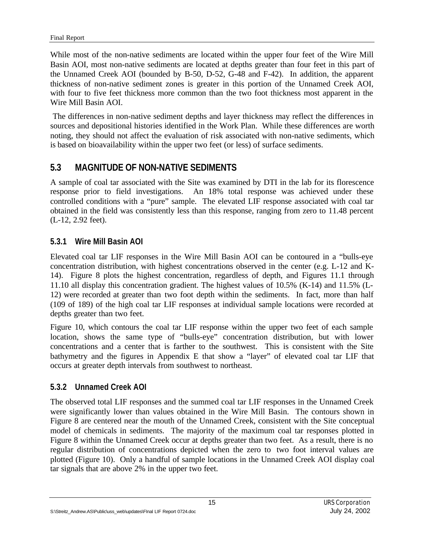While most of the non-native sediments are located within the upper four feet of the Wire Mill Basin AOI, most non-native sediments are located at depths greater than four feet in this part of the Unnamed Creek AOI (bounded by B-50, D-52, G-48 and F-42). In addition, the apparent thickness of non-native sediment zones is greater in this portion of the Unnamed Creek AOI, with four to five feet thickness more common than the two foot thickness most apparent in the Wire Mill Basin AOI.

 The differences in non-native sediment depths and layer thickness may reflect the differences in sources and depositional histories identified in the Work Plan. While these differences are worth noting, they should not affect the evaluation of risk associated with non-native sediments, which is based on bioavailability within the upper two feet (or less) of surface sediments.

## **5.3 MAGNITUDE OF NON-NATIVE SEDIMENTS**

A sample of coal tar associated with the Site was examined by DTI in the lab for its florescence response prior to field investigations. An 18% total response was achieved under these controlled conditions with a "pure" sample. The elevated LIF response associated with coal tar obtained in the field was consistently less than this response, ranging from zero to 11.48 percent (L-12, 2.92 feet).

## **5.3.1 Wire Mill Basin AOI**

Elevated coal tar LIF responses in the Wire Mill Basin AOI can be contoured in a "bulls-eye concentration distribution, with highest concentrations observed in the center (e.g. L-12 and K-14). Figure 8 plots the highest concentration, regardless of depth, and Figures 11.1 through 11.10 all display this concentration gradient. The highest values of 10.5% (K-14) and 11.5% (L-12) were recorded at greater than two foot depth within the sediments. In fact, more than half (109 of 189) of the high coal tar LIF responses at individual sample locations were recorded at depths greater than two feet.

Figure 10, which contours the coal tar LIF response within the upper two feet of each sample location, shows the same type of "bulls-eye" concentration distribution, but with lower concentrations and a center that is farther to the southwest. This is consistent with the Site bathymetry and the figures in Appendix E that show a "layer" of elevated coal tar LIF that occurs at greater depth intervals from southwest to northeast.

## **5.3.2 Unnamed Creek AOI**

The observed total LIF responses and the summed coal tar LIF responses in the Unnamed Creek were significantly lower than values obtained in the Wire Mill Basin. The contours shown in Figure 8 are centered near the mouth of the Unnamed Creek, consistent with the Site conceptual model of chemicals in sediments. The majority of the maximum coal tar responses plotted in Figure 8 within the Unnamed Creek occur at depths greater than two feet. As a result, there is no regular distribution of concentrations depicted when the zero to two foot interval values are plotted (Figure 10). Only a handful of sample locations in the Unnamed Creek AOI display coal tar signals that are above 2% in the upper two feet.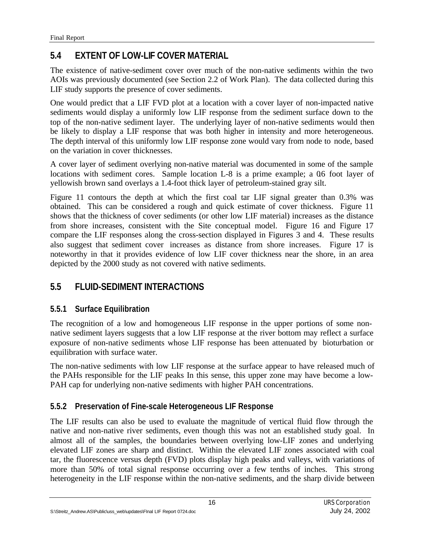# **5.4 EXTENT OF LOW-LIF COVER MATERIAL**

The existence of native-sediment cover over much of the non-native sediments within the two AOIs was previously documented (see Section 2.2 of Work Plan). The data collected during this LIF study supports the presence of cover sediments.

One would predict that a LIF FVD plot at a location with a cover layer of non-impacted native sediments would display a uniformly low LIF response from the sediment surface down to the top of the non-native sediment layer. The underlying layer of non-native sediments would then be likely to display a LIF response that was both higher in intensity and more heterogeneous. The depth interval of this uniformly low LIF response zone would vary from node to node, based on the variation in cover thicknesses.

A cover layer of sediment overlying non-native material was documented in some of the sample locations with sediment cores. Sample location L-8 is a prime example; a 06 foot layer of yellowish brown sand overlays a 1.4-foot thick layer of petroleum-stained gray silt.

Figure 11 contours the depth at which the first coal tar LIF signal greater than 0.3% was obtained. This can be considered a rough and quick estimate of cover thickness. Figure 11 shows that the thickness of cover sediments (or other low LIF material) increases as the distance from shore increases, consistent with the Site conceptual model. Figure 16 and Figure 17 compare the LIF responses along the cross-section displayed in Figures 3 and 4. These results also suggest that sediment cover increases as distance from shore increases. Figure 17 is noteworthy in that it provides evidence of low LIF cover thickness near the shore, in an area depicted by the 2000 study as not covered with native sediments.

# **5.5 FLUID-SEDIMENT INTERACTIONS**

## **5.5.1 Surface Equilibration**

The recognition of a low and homogeneous LIF response in the upper portions of some nonnative sediment layers suggests that a low LIF response at the river bottom may reflect a surface exposure of non-native sediments whose LIF response has been attenuated by bioturbation or equilibration with surface water.

The non-native sediments with low LIF response at the surface appear to have released much of the PAHs responsible for the LIF peaks In this sense, this upper zone may have become a low-PAH cap for underlying non-native sediments with higher PAH concentrations.

## **5.5.2 Preservation of Fine-scale Heterogeneous LIF Response**

The LIF results can also be used to evaluate the magnitude of vertical fluid flow through the native and non-native river sediments, even though this was not an established study goal. In almost all of the samples, the boundaries between overlying low-LIF zones and underlying elevated LIF zones are sharp and distinct. Within the elevated LIF zones associated with coal tar, the fluorescence versus depth (FVD) plots display high peaks and valleys, with variations of more than 50% of total signal response occurring over a few tenths of inches. This strong heterogeneity in the LIF response within the non-native sediments, and the sharp divide between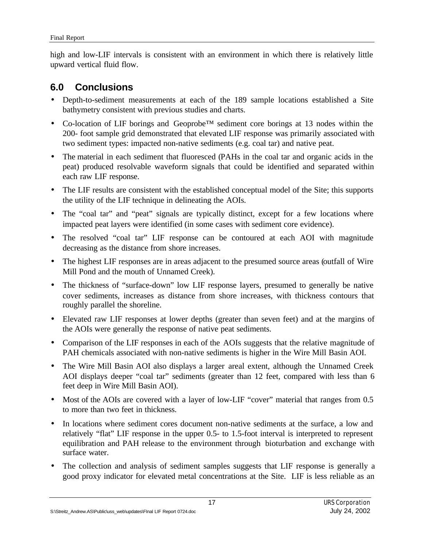high and low-LIF intervals is consistent with an environment in which there is relatively little upward vertical fluid flow.

# **6.0 Conclusions**

- Depth-to-sediment measurements at each of the 189 sample locations established a Site bathymetry consistent with previous studies and charts.
- Co-location of LIF borings and Geoprobe™ sediment core borings at 13 nodes within the 200- foot sample grid demonstrated that elevated LIF response was primarily associated with two sediment types: impacted non-native sediments (e.g. coal tar) and native peat.
- The material in each sediment that fluoresced (PAHs in the coal tar and organic acids in the peat) produced resolvable waveform signals that could be identified and separated within each raw LIF response.
- The LIF results are consistent with the established conceptual model of the Site; this supports the utility of the LIF technique in delineating the AOIs.
- The "coal tar" and "peat" signals are typically distinct, except for a few locations where impacted peat layers were identified (in some cases with sediment core evidence).
- The resolved "coal tar" LIF response can be contoured at each AOI with magnitude decreasing as the distance from shore increases.
- The highest LIF responses are in areas adjacent to the presumed source areas (outfall of Wire Mill Pond and the mouth of Unnamed Creek).
- The thickness of "surface-down" low LIF response layers, presumed to generally be native cover sediments, increases as distance from shore increases, with thickness contours that roughly parallel the shoreline.
- Elevated raw LIF responses at lower depths (greater than seven feet) and at the margins of the AOIs were generally the response of native peat sediments.
- Comparison of the LIF responses in each of the AOIs suggests that the relative magnitude of PAH chemicals associated with non-native sediments is higher in the Wire Mill Basin AOI.
- The Wire Mill Basin AOI also displays a larger areal extent, although the Unnamed Creek AOI displays deeper "coal tar" sediments (greater than 12 feet, compared with less than 6 feet deep in Wire Mill Basin AOI).
- Most of the AOIs are covered with a layer of low-LIF "cover" material that ranges from 0.5 to more than two feet in thickness.
- In locations where sediment cores document non-native sediments at the surface, a low and relatively "flat" LIF response in the upper 0.5- to 1.5-foot interval is interpreted to represent equilibration and PAH release to the environment through bioturbation and exchange with surface water.
- The collection and analysis of sediment samples suggests that LIF response is generally a good proxy indicator for elevated metal concentrations at the Site. LIF is less reliable as an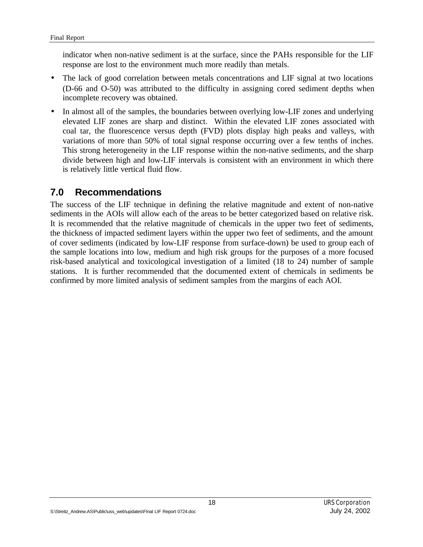indicator when non-native sediment is at the surface, since the PAHs responsible for the LIF response are lost to the environment much more readily than metals.

- The lack of good correlation between metals concentrations and LIF signal at two locations (D-66 and O-50) was attributed to the difficulty in assigning cored sediment depths when incomplete recovery was obtained.
- In almost all of the samples, the boundaries between overlying low-LIF zones and underlying elevated LIF zones are sharp and distinct. Within the elevated LIF zones associated with coal tar, the fluorescence versus depth (FVD) plots display high peaks and valleys, with variations of more than 50% of total signal response occurring over a few tenths of inches. This strong heterogeneity in the LIF response within the non-native sediments, and the sharp divide between high and low-LIF intervals is consistent with an environment in which there is relatively little vertical fluid flow.

## **7.0 Recommendations**

The success of the LIF technique in defining the relative magnitude and extent of non-native sediments in the AOIs will allow each of the areas to be better categorized based on relative risk. It is recommended that the relative magnitude of chemicals in the upper two feet of sediments, the thickness of impacted sediment layers within the upper two feet of sediments, and the amount of cover sediments (indicated by low-LIF response from surface-down) be used to group each of the sample locations into low, medium and high risk groups for the purposes of a more focused risk-based analytical and toxicological investigation of a limited (18 to 24) number of sample stations. It is further recommended that the documented extent of chemicals in sediments be confirmed by more limited analysis of sediment samples from the margins of each AOI.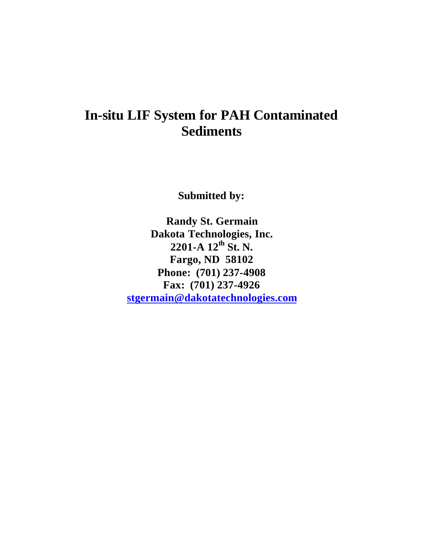# **In-situ LIF System for PAH Contaminated Sediments**

**Submitted by:**

**Randy St. Germain Dakota Technologies, Inc. 2201-A 12th St. N. Fargo, ND 58102 Phone: (701) 237-4908 Fax: (701) 237-4926 [stgermain@dakotatechnologies.com](mailto:stgermain@dakotatechnologies.com)**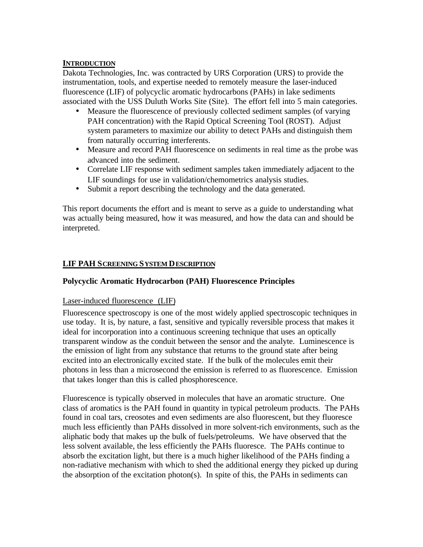#### **INTRODUCTION**

Dakota Technologies, Inc. was contracted by URS Corporation (URS) to provide the instrumentation, tools, and expertise needed to remotely measure the laser-induced fluorescence (LIF) of polycyclic aromatic hydrocarbons (PAHs) in lake sediments associated with the USS Duluth Works Site (Site). The effort fell into 5 main categories.

- Measure the fluorescence of previously collected sediment samples (of varying PAH concentration) with the Rapid Optical Screening Tool (ROST). Adjust system parameters to maximize our ability to detect PAHs and distinguish them from naturally occurring interferents.
- Measure and record PAH fluorescence on sediments in real time as the probe was advanced into the sediment.
- Correlate LIF response with sediment samples taken immediately adjacent to the LIF soundings for use in validation/chemometrics analysis studies.
- Submit a report describing the technology and the data generated.

This report documents the effort and is meant to serve as a guide to understanding what was actually being measured, how it was measured, and how the data can and should be interpreted.

#### **LIF PAH SCREENING SYSTEM DESCRIPTION**

#### **Polycyclic Aromatic Hydrocarbon (PAH) Fluorescence Principles**

#### Laser-induced fluorescence (LIF)

Fluorescence spectroscopy is one of the most widely applied spectroscopic techniques in use today. It is, by nature, a fast, sensitive and typically reversible process that makes it ideal for incorporation into a continuous screening technique that uses an optically transparent window as the conduit between the sensor and the analyte. Luminescence is the emission of light from any substance that returns to the ground state after being excited into an electronically excited state. If the bulk of the molecules emit their photons in less than a microsecond the emission is referred to as fluorescence. Emission that takes longer than this is called phosphorescence.

Fluorescence is typically observed in molecules that have an aromatic structure. One class of aromatics is the PAH found in quantity in typical petroleum products. The PAHs found in coal tars, creosotes and even sediments are also fluorescent, but they fluoresce much less efficiently than PAHs dissolved in more solvent-rich environments, such as the aliphatic body that makes up the bulk of fuels/petroleums. We have observed that the less solvent available, the less efficiently the PAHs fluoresce. The PAHs continue to absorb the excitation light, but there is a much higher likelihood of the PAHs finding a non-radiative mechanism with which to shed the additional energy they picked up during the absorption of the excitation photon(s). In spite of this, the PAHs in sediments can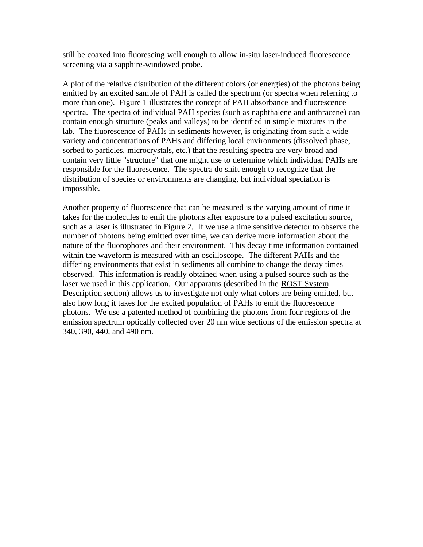still be coaxed into fluorescing well enough to allow in-situ laser-induced fluorescence screening via a sapphire-windowed probe.

A plot of the relative distribution of the different colors (or energies) of the photons being emitted by an excited sample of PAH is called the spectrum (or spectra when referring to more than one). Figure 1 illustrates the concept of PAH absorbance and fluorescence spectra. The spectra of individual PAH species (such as naphthalene and anthracene) can contain enough structure (peaks and valleys) to be identified in simple mixtures in the lab. The fluorescence of PAHs in sediments however, is originating from such a wide variety and concentrations of PAHs and differing local environments (dissolved phase, sorbed to particles, microcrystals, etc.) that the resulting spectra are very broad and contain very little "structure" that one might use to determine which individual PAHs are responsible for the fluorescence. The spectra do shift enough to recognize that the distribution of species or environments are changing, but individual speciation is impossible.

Another property of fluorescence that can be measured is the varying amount of time it takes for the molecules to emit the photons after exposure to a pulsed excitation source, such as a laser is illustrated in Figure 2. If we use a time sensitive detector to observe the number of photons being emitted over time, we can derive more information about the nature of the fluorophores and their environment. This decay time information contained within the waveform is measured with an oscilloscope. The different PAHs and the differing environments that exist in sediments all combine to change the decay times observed. This information is readily obtained when using a pulsed source such as the laser we used in this application. Our apparatus (described in the ROST System Description section) allows us to investigate not only what colors are being emitted, but also how long it takes for the excited population of PAHs to emit the fluorescence photons. We use a patented method of combining the photons from four regions of the emission spectrum optically collected over 20 nm wide sections of the emission spectra at 340, 390, 440, and 490 nm.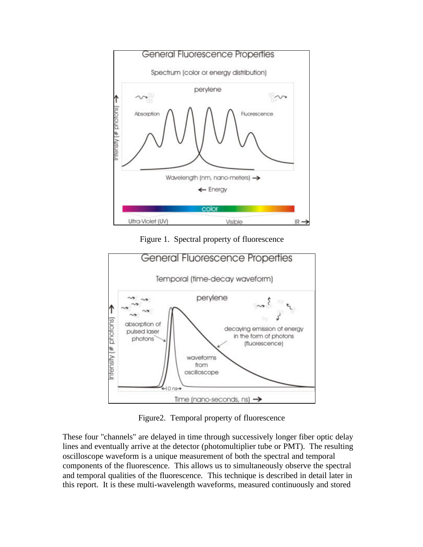

Figure 1. Spectral property of fluorescence



Figure2. Temporal property of fluorescence

These four "channels" are delayed in time through successively longer fiber optic delay lines and eventually arrive at the detector (photomultiplier tube or PMT). The resulting oscilloscope waveform is a unique measurement of both the spectral and temporal components of the fluorescence. This allows us to simultaneously observe the spectral and temporal qualities of the fluorescence. This technique is described in detail later in this report. It is these multi-wavelength waveforms, measured continuously and stored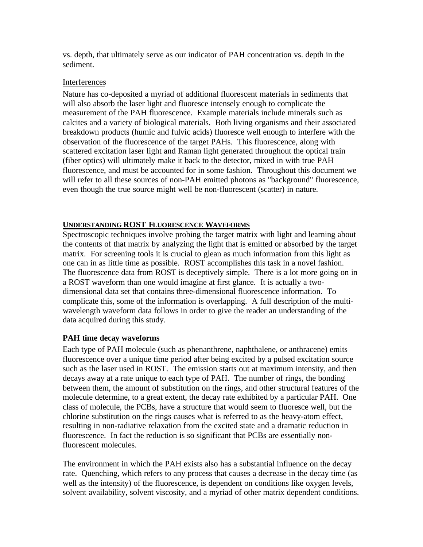vs. depth, that ultimately serve as our indicator of PAH concentration vs. depth in the sediment.

#### Interferences

Nature has co-deposited a myriad of additional fluorescent materials in sediments that will also absorb the laser light and fluoresce intensely enough to complicate the measurement of the PAH fluorescence. Example materials include minerals such as calcites and a variety of biological materials. Both living organisms and their associated breakdown products (humic and fulvic acids) fluoresce well enough to interfere with the observation of the fluorescence of the target PAHs. This fluorescence, along with scattered excitation laser light and Raman light generated throughout the optical train (fiber optics) will ultimately make it back to the detector, mixed in with true PAH fluorescence, and must be accounted for in some fashion. Throughout this document we will refer to all these sources of non-PAH emitted photons as "background" fluorescence, even though the true source might well be non-fluorescent (scatter) in nature.

#### **UNDERSTANDING ROST FLUORESCENCE WAVEFORMS**

Spectroscopic techniques involve probing the target matrix with light and learning about the contents of that matrix by analyzing the light that is emitted or absorbed by the target matrix. For screening tools it is crucial to glean as much information from this light as one can in as little time as possible. ROST accomplishes this task in a novel fashion. The fluorescence data from ROST is deceptively simple. There is a lot more going on in a ROST waveform than one would imagine at first glance. It is actually a twodimensional data set that contains three-dimensional fluorescence information. To complicate this, some of the information is overlapping. A full description of the multiwavelength waveform data follows in order to give the reader an understanding of the data acquired during this study.

#### **PAH time decay waveforms**

Each type of PAH molecule (such as phenanthrene, naphthalene, or anthracene) emits fluorescence over a unique time period after being excited by a pulsed excitation source such as the laser used in ROST. The emission starts out at maximum intensity, and then decays away at a rate unique to each type of PAH. The number of rings, the bonding between them, the amount of substitution on the rings, and other structural features of the molecule determine, to a great extent, the decay rate exhibited by a particular PAH. One class of molecule, the PCBs, have a structure that would seem to fluoresce well, but the chlorine substitution on the rings causes what is referred to as the heavy-atom effect, resulting in non-radiative relaxation from the excited state and a dramatic reduction in fluorescence. In fact the reduction is so significant that PCBs are essentially nonfluorescent molecules.

The environment in which the PAH exists also has a substantial influence on the decay rate. Quenching, which refers to any process that causes a decrease in the decay time (as well as the intensity) of the fluorescence, is dependent on conditions like oxygen levels, solvent availability, solvent viscosity, and a myriad of other matrix dependent conditions.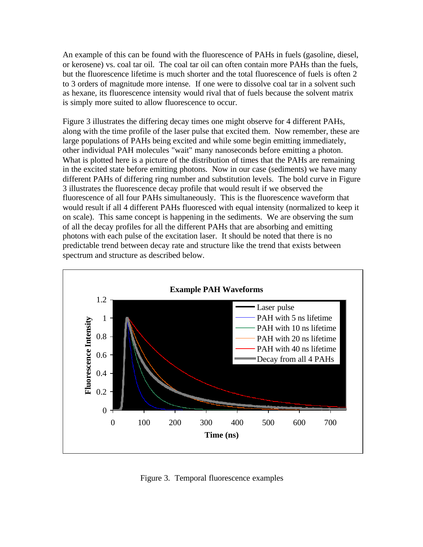An example of this can be found with the fluorescence of PAHs in fuels (gasoline, diesel, or kerosene) vs. coal tar oil. The coal tar oil can often contain more PAHs than the fuels, but the fluorescence lifetime is much shorter and the total fluorescence of fuels is often 2 to 3 orders of magnitude more intense. If one were to dissolve coal tar in a solvent such as hexane, its fluorescence intensity would rival that of fuels because the solvent matrix is simply more suited to allow fluorescence to occur.

Figure 3 illustrates the differing decay times one might observe for 4 different PAHs, along with the time profile of the laser pulse that excited them. Now remember, these are large populations of PAHs being excited and while some begin emitting immediately, other individual PAH molecules "wait" many nanoseconds before emitting a photon. What is plotted here is a picture of the distribution of times that the PAHs are remaining in the excited state before emitting photons. Now in our case (sediments) we have many different PAHs of differing ring number and substitution levels. The bold curve in Figure 3 illustrates the fluorescence decay profile that would result if we observed the fluorescence of all four PAHs simultaneously. This is the fluorescence waveform that would result if all 4 different PAHs fluoresced with equal intensity (normalized to keep it on scale). This same concept is happening in the sediments. We are observing the sum of all the decay profiles for all the different PAHs that are absorbing and emitting photons with each pulse of the excitation laser. It should be noted that there is no predictable trend between decay rate and structure like the trend that exists between spectrum and structure as described below.



Figure 3. Temporal fluorescence examples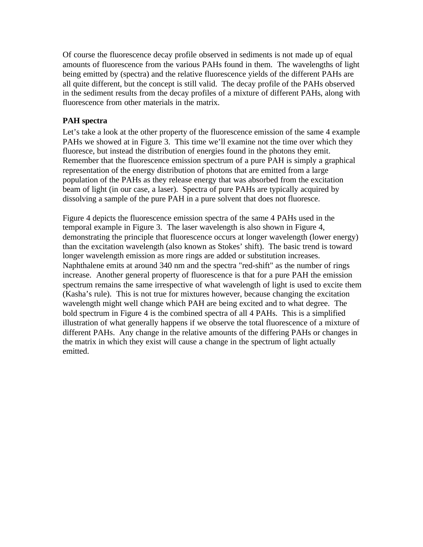Of course the fluorescence decay profile observed in sediments is not made up of equal amounts of fluorescence from the various PAHs found in them. The wavelengths of light being emitted by (spectra) and the relative fluorescence yields of the different PAHs are all quite different, but the concept is still valid. The decay profile of the PAHs observed in the sediment results from the decay profiles of a mixture of different PAHs, along with fluorescence from other materials in the matrix.

#### **PAH spectra**

Let's take a look at the other property of the fluorescence emission of the same 4 example PAHs we showed at in Figure 3. This time we'll examine not the time over which they fluoresce, but instead the distribution of energies found in the photons they emit. Remember that the fluorescence emission spectrum of a pure PAH is simply a graphical representation of the energy distribution of photons that are emitted from a large population of the PAHs as they release energy that was absorbed from the excitation beam of light (in our case, a laser). Spectra of pure PAHs are typically acquired by dissolving a sample of the pure PAH in a pure solvent that does not fluoresce.

Figure 4 depicts the fluorescence emission spectra of the same 4 PAHs used in the temporal example in Figure 3. The laser wavelength is also shown in Figure 4, demonstrating the principle that fluorescence occurs at longer wavelength (lower energy) than the excitation wavelength (also known as Stokes' shift). The basic trend is toward longer wavelength emission as more rings are added or substitution increases. Naphthalene emits at around 340 nm and the spectra "red-shift" as the number of rings increase. Another general property of fluorescence is that for a pure PAH the emission spectrum remains the same irrespective of what wavelength of light is used to excite them (Kasha's rule). This is not true for mixtures however, because changing the excitation wavelength might well change which PAH are being excited and to what degree. The bold spectrum in Figure 4 is the combined spectra of all 4 PAHs. This is a simplified illustration of what generally happens if we observe the total fluorescence of a mixture of different PAHs. Any change in the relative amounts of the differing PAHs or changes in the matrix in which they exist will cause a change in the spectrum of light actually emitted.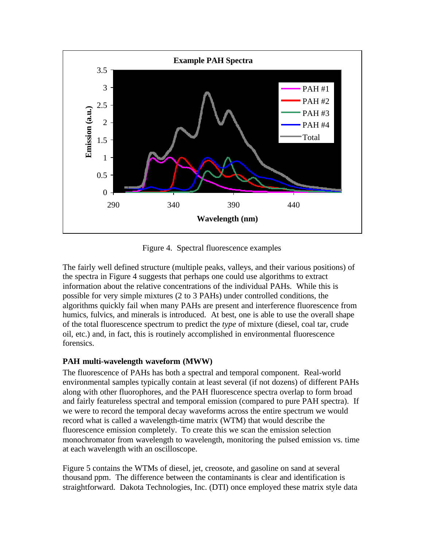

Figure 4. Spectral fluorescence examples

The fairly well defined structure (multiple peaks, valleys, and their various positions) of the spectra in Figure 4 suggests that perhaps one could use algorithms to extract information about the relative concentrations of the individual PAHs. While this is possible for very simple mixtures (2 to 3 PAHs) under controlled conditions, the algorithms quickly fail when many PAHs are present and interference fluorescence from humics, fulvics, and minerals is introduced. At best, one is able to use the overall shape of the total fluorescence spectrum to predict the *type* of mixture (diesel, coal tar, crude oil, etc.) and, in fact, this is routinely accomplished in environmental fluorescence forensics.

#### **PAH multi-wavelength waveform (MWW)**

The fluorescence of PAHs has both a spectral and temporal component. Real-world environmental samples typically contain at least several (if not dozens) of different PAHs along with other fluorophores, and the PAH fluorescence spectra overlap to form broad and fairly featureless spectral and temporal emission (compared to pure PAH spectra). If we were to record the temporal decay waveforms across the entire spectrum we would record what is called a wavelength-time matrix (WTM) that would describe the fluorescence emission completely. To create this we scan the emission selection monochromator from wavelength to wavelength, monitoring the pulsed emission vs. time at each wavelength with an oscilloscope.

Figure 5 contains the WTMs of diesel, jet, creosote, and gasoline on sand at several thousand ppm. The difference between the contaminants is clear and identification is straightforward. Dakota Technologies, Inc. (DTI) once employed these matrix style data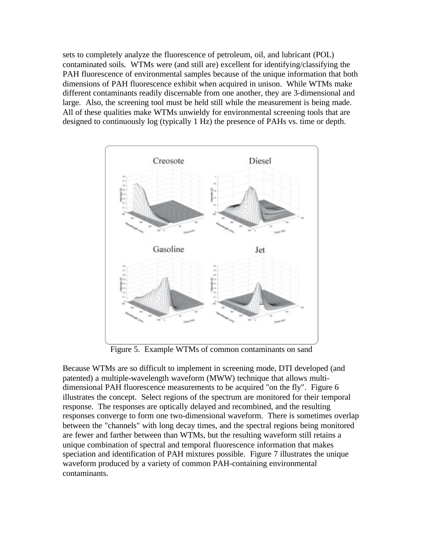sets to completely analyze the fluorescence of petroleum, oil, and lubricant (POL) contaminated soils. WTMs were (and still are) excellent for identifying/classifying the PAH fluorescence of environmental samples because of the unique information that both dimensions of PAH fluorescence exhibit when acquired in unison. While WTMs make different contaminants readily discernable from one another, they are 3-dimensional and large. Also, the screening tool must be held still while the measurement is being made. All of these qualities make WTMs unwieldy for environmental screening tools that are designed to continuously log (typically 1 Hz) the presence of PAHs vs. time or depth.



Figure 5. Example WTMs of common contaminants on sand

Because WTMs are so difficult to implement in screening mode, DTI developed (and patented) a multiple-wavelength waveform (MWW) technique that allows multidimensional PAH fluorescence measurements to be acquired "on the fly". Figure 6 illustrates the concept. Select regions of the spectrum are monitored for their temporal response. The responses are optically delayed and recombined, and the resulting responses converge to form one two-dimensional waveform. There is sometimes overlap between the "channels" with long decay times, and the spectral regions being monitored are fewer and farther between than WTMs, but the resulting waveform still retains a unique combination of spectral and temporal fluorescence information that makes speciation and identification of PAH mixtures possible. Figure 7 illustrates the unique waveform produced by a variety of common PAH-containing environmental contaminants.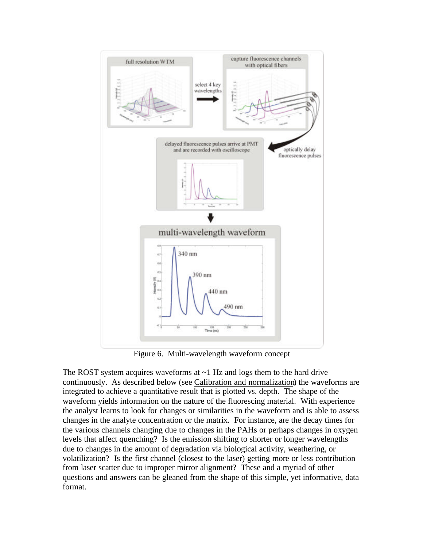

Figure 6. Multi-wavelength waveform concept

The ROST system acquires waveforms at  $\sim$ 1 Hz and logs them to the hard drive continuously. As described below (see Calibration and normalization) the waveforms are integrated to achieve a quantitative result that is plotted vs. depth. The shape of the waveform yields information on the nature of the fluorescing material. With experience the analyst learns to look for changes or similarities in the waveform and is able to assess changes in the analyte concentration or the matrix. For instance, are the decay times for the various channels changing due to changes in the PAHs or perhaps changes in oxygen levels that affect quenching? Is the emission shifting to shorter or longer wavelengths due to changes in the amount of degradation via biological activity, weathering, or volatilization? Is the first channel (closest to the laser) getting more or less contribution from laser scatter due to improper mirror alignment? These and a myriad of other questions and answers can be gleaned from the shape of this simple, yet informative, data format.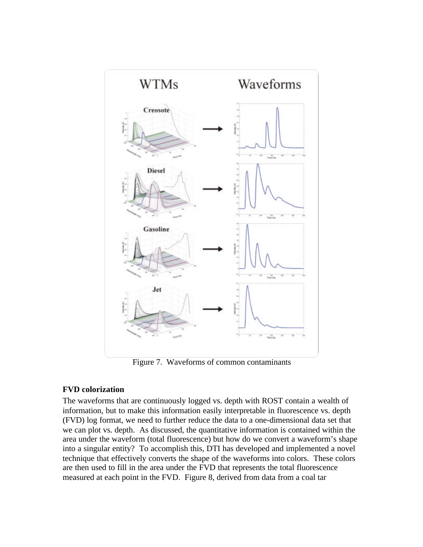

Figure 7. Waveforms of common contaminants

#### **FVD colorization**

The waveforms that are continuously logged vs. depth with ROST contain a wealth of information, but to make this information easily interpretable in fluorescence vs. depth (FVD) log format, we need to further reduce the data to a one-dimensional data set that we can plot vs. depth. As discussed, the quantitative information is contained within the area under the waveform (total fluorescence) but how do we convert a waveform's shape into a singular entity? To accomplish this, DTI has developed and implemented a novel technique that effectively converts the shape of the waveforms into colors. These colors are then used to fill in the area under the FVD that represents the total fluorescence measured at each point in the FVD. Figure 8, derived from data from a coal tar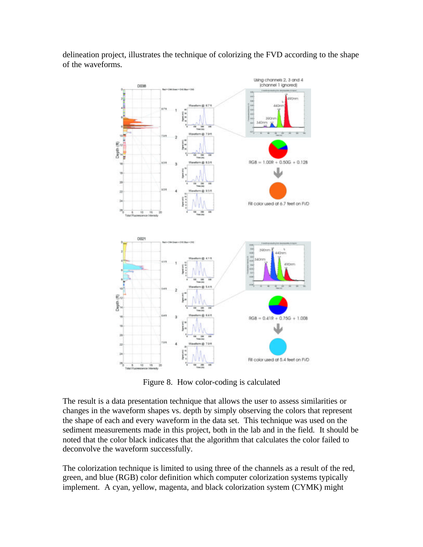

delineation project, illustrates the technique of colorizing the FVD according to the shape of the waveforms.

Figure 8. How color-coding is calculated

The result is a data presentation technique that allows the user to assess similarities or changes in the waveform shapes vs. depth by simply observing the colors that represent the shape of each and every waveform in the data set. This technique was used on the sediment measurements made in this project, both in the lab and in the field. It should be noted that the color black indicates that the algorithm that calculates the color failed to deconvolve the waveform successfully.

The colorization technique is limited to using three of the channels as a result of the red, green, and blue (RGB) color definition which computer colorization systems typically implement. A cyan, yellow, magenta, and black colorization system (CYMK) might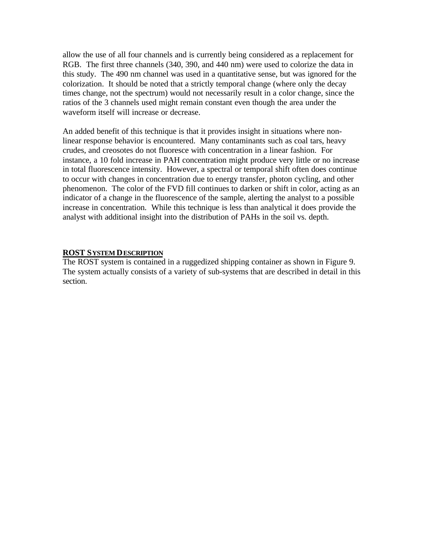allow the use of all four channels and is currently being considered as a replacement for RGB. The first three channels (340, 390, and 440 nm) were used to colorize the data in this study. The 490 nm channel was used in a quantitative sense, but was ignored for the colorization. It should be noted that a strictly temporal change (where only the decay times change, not the spectrum) would not necessarily result in a color change, since the ratios of the 3 channels used might remain constant even though the area under the waveform itself will increase or decrease.

An added benefit of this technique is that it provides insight in situations where nonlinear response behavior is encountered. Many contaminants such as coal tars, heavy crudes, and creosotes do not fluoresce with concentration in a linear fashion. For instance, a 10 fold increase in PAH concentration might produce very little or no increase in total fluorescence intensity. However, a spectral or temporal shift often does continue to occur with changes in concentration due to energy transfer, photon cycling, and other phenomenon. The color of the FVD fill continues to darken or shift in color, acting as an indicator of a change in the fluorescence of the sample, alerting the analyst to a possible increase in concentration. While this technique is less than analytical it does provide the analyst with additional insight into the distribution of PAHs in the soil vs. depth.

#### **ROST SYSTEM DESCRIPTION**

The ROST system is contained in a ruggedized shipping container as shown in Figure 9. The system actually consists of a variety of sub-systems that are described in detail in this section.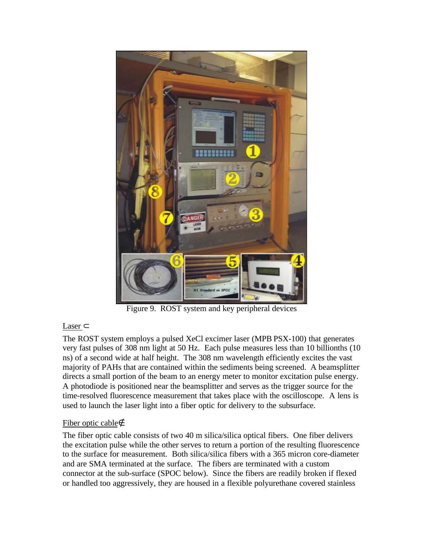

Figure 9. ROST system and key peripheral devices

#### Laser ⊂

The ROST system employs a pulsed XeCl excimer laser (MPB PSX-100) that generates very fast pulses of 308 nm light at 50 Hz. Each pulse measures less than 10 billionths (10 ns) of a second wide at half height. The 308 nm wavelength efficiently excites the vast majority of PAHs that are contained within the sediments being screened. A beamsplitter directs a small portion of the beam to an energy meter to monitor excitation pulse energy. A photodiode is positioned near the beamsplitter and serves as the trigger source for the time-resolved fluorescence measurement that takes place with the oscilloscope. A lens is used to launch the laser light into a fiber optic for delivery to the subsurface.

#### Fiber optic cable∉

The fiber optic cable consists of two 40 m silica/silica optical fibers. One fiber delivers the excitation pulse while the other serves to return a portion of the resulting fluorescence to the surface for measurement. Both silica/silica fibers with a 365 micron core-diameter and are SMA terminated at the surface. The fibers are terminated with a custom connector at the sub-surface (SPOC below). Since the fibers are readily broken if flexed or handled too aggressively, they are housed in a flexible polyurethane covered stainless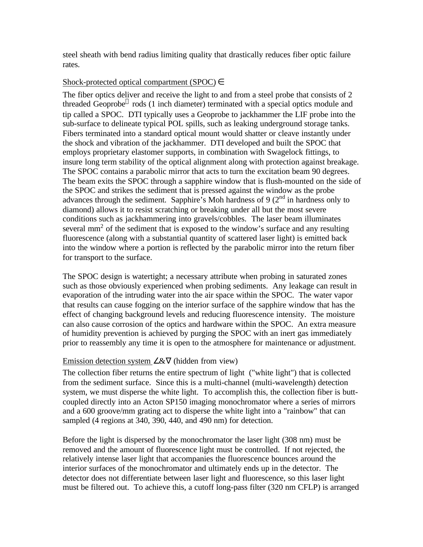steel sheath with bend radius limiting quality that drastically reduces fiber optic failure rates.

#### Shock-protected optical compartment (SPOC)  $\in$

The fiber optics deliver and receive the light to and from a steel probe that consists of 2 threaded Geoprobe® rods (1 inch diameter) terminated with a special optics module and tip called a SPOC. DTI typically uses a Geoprobe to jackhammer the LIF probe into the sub-surface to delineate typical POL spills, such as leaking underground storage tanks. Fibers terminated into a standard optical mount would shatter or cleave instantly under the shock and vibration of the jackhammer. DTI developed and built the SPOC that employs proprietary elastomer supports, in combination with Swagelock fittings, to insure long term stability of the optical alignment along with protection against breakage. The SPOC contains a parabolic mirror that acts to turn the excitation beam 90 degrees. The beam exits the SPOC through a sapphire window that is flush-mounted on the side of the SPOC and strikes the sediment that is pressed against the window as the probe advances through the sediment. Sapphire's Moh hardness of 9  $(2<sup>nd</sup>$  in hardness only to diamond) allows it to resist scratching or breaking under all but the most severe conditions such as jackhammering into gravels/cobbles. The laser beam illuminates several  $mm<sup>2</sup>$  of the sediment that is exposed to the window's surface and any resulting fluorescence (along with a substantial quantity of scattered laser light) is emitted back into the window where a portion is reflected by the parabolic mirror into the return fiber for transport to the surface.

The SPOC design is watertight; a necessary attribute when probing in saturated zones such as those obviously experienced when probing sediments. Any leakage can result in evaporation of the intruding water into the air space within the SPOC. The water vapor that results can cause fogging on the interior surface of the sapphire window that has the effect of changing background levels and reducing fluorescence intensity. The moisture can also cause corrosion of the optics and hardware within the SPOC. An extra measure of humidity prevention is achieved by purging the SPOC with an inert gas immediately prior to reassembly any time it is open to the atmosphere for maintenance or adjustment.

#### Emission detection system ∠&∇ (hidden from view)

The collection fiber returns the entire spectrum of light ("white light") that is collected from the sediment surface. Since this is a multi-channel (multi-wavelength) detection system, we must disperse the white light. To accomplish this, the collection fiber is buttcoupled directly into an Acton SP150 imaging monochromator where a series of mirrors and a 600 groove/mm grating act to disperse the white light into a "rainbow" that can sampled (4 regions at 340, 390, 440, and 490 nm) for detection.

Before the light is dispersed by the monochromator the laser light (308 nm) must be removed and the amount of fluorescence light must be controlled. If not rejected, the relatively intense laser light that accompanies the fluorescence bounces around the interior surfaces of the monochromator and ultimately ends up in the detector. The detector does not differentiate between laser light and fluorescence, so this laser light must be filtered out. To achieve this, a cutoff long-pass filter (320 nm CFLP) is arranged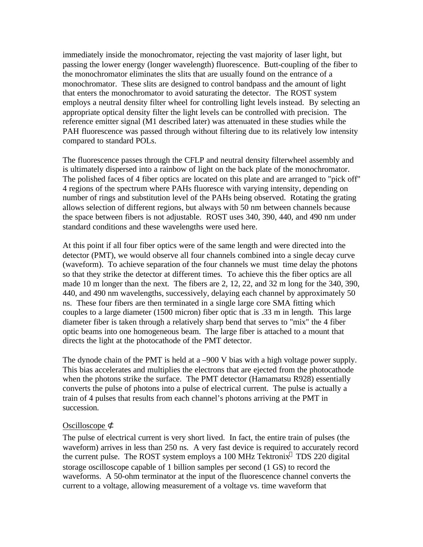immediately inside the monochromator, rejecting the vast majority of laser light, but passing the lower energy (longer wavelength) fluorescence. Butt-coupling of the fiber to the monochromator eliminates the slits that are usually found on the entrance of a monochromator. These slits are designed to control bandpass and the amount of light that enters the monochromator to avoid saturating the detector. The ROST system employs a neutral density filter wheel for controlling light levels instead. By selecting an appropriate optical density filter the light levels can be controlled with precision. The reference emitter signal (M1 described later) was attenuated in these studies while the PAH fluorescence was passed through without filtering due to its relatively low intensity compared to standard POLs.

The fluorescence passes through the CFLP and neutral density filterwheel assembly and is ultimately dispersed into a rainbow of light on the back plate of the monochromator. The polished faces of 4 fiber optics are located on this plate and are arranged to "pick off" 4 regions of the spectrum where PAHs fluoresce with varying intensity, depending on number of rings and substitution level of the PAHs being observed. Rotating the grating allows selection of different regions, but always with 50 nm between channels because the space between fibers is not adjustable. ROST uses 340, 390, 440, and 490 nm under standard conditions and these wavelengths were used here.

At this point if all four fiber optics were of the same length and were directed into the detector (PMT), we would observe all four channels combined into a single decay curve (waveform). To achieve separation of the four channels we must time delay the photons so that they strike the detector at different times. To achieve this the fiber optics are all made 10 m longer than the next. The fibers are 2, 12, 22, and 32 m long for the 340, 390, 440, and 490 nm wavelengths, successively, delaying each channel by approximately 50 ns. These four fibers are then terminated in a single large core SMA fitting which couples to a large diameter (1500 micron) fiber optic that is .33 m in length. This large diameter fiber is taken through a relatively sharp bend that serves to "mix" the 4 fiber optic beams into one homogeneous beam. The large fiber is attached to a mount that directs the light at the photocathode of the PMT detector.

The dynode chain of the PMT is held at a –900 V bias with a high voltage power supply. This bias accelerates and multiplies the electrons that are ejected from the photocathode when the photons strike the surface. The PMT detector (Hamamatsu R928) essentially converts the pulse of photons into a pulse of electrical current. The pulse is actually a train of 4 pulses that results from each channel's photons arriving at the PMT in succession.

#### Oscilloscope ⊄

The pulse of electrical current is very short lived. In fact, the entire train of pulses (the waveform) arrives in less than 250 ns. A very fast device is required to accurately record the current pulse. The ROST system employs a 100 MHz Tektronix<sup>®</sup> TDS 220 digital storage oscilloscope capable of 1 billion samples per second (1 GS) to record the waveforms. A 50-ohm terminator at the input of the fluorescence channel converts the current to a voltage, allowing measurement of a voltage vs. time waveform that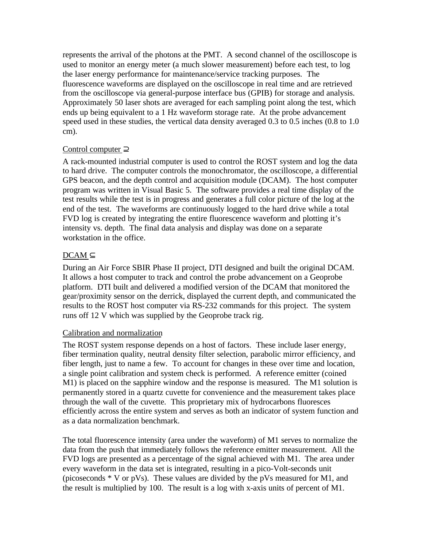represents the arrival of the photons at the PMT. A second channel of the oscilloscope is used to monitor an energy meter (a much slower measurement) before each test, to log the laser energy performance for maintenance/service tracking purposes. The fluorescence waveforms are displayed on the oscilloscope in real time and are retrieved from the oscilloscope via general-purpose interface bus (GPIB) for storage and analysis. Approximately 50 laser shots are averaged for each sampling point along the test, which ends up being equivalent to a 1 Hz waveform storage rate. At the probe advancement speed used in these studies, the vertical data density averaged 0.3 to 0.5 inches (0.8 to 1.0 cm).

#### Control computer ⊇

A rack-mounted industrial computer is used to control the ROST system and log the data to hard drive. The computer controls the monochromator, the oscilloscope, a differential GPS beacon, and the depth control and acquisition module (DCAM). The host computer program was written in Visual Basic 5. The software provides a real time display of the test results while the test is in progress and generates a full color picture of the log at the end of the test. The waveforms are continuously logged to the hard drive while a total FVD log is created by integrating the entire fluorescence waveform and plotting it's intensity vs. depth. The final data analysis and display was done on a separate workstation in the office.

#### $DCAM \subset$

During an Air Force SBIR Phase II project, DTI designed and built the original DCAM. It allows a host computer to track and control the probe advancement on a Geoprobe platform. DTI built and delivered a modified version of the DCAM that monitored the gear/proximity sensor on the derrick, displayed the current depth, and communicated the results to the ROST host computer via RS-232 commands for this project. The system runs off 12 V which was supplied by the Geoprobe track rig.

#### Calibration and normalization

The ROST system response depends on a host of factors. These include laser energy, fiber termination quality, neutral density filter selection, parabolic mirror efficiency, and fiber length, just to name a few. To account for changes in these over time and location, a single point calibration and system check is performed. A reference emitter (coined M1) is placed on the sapphire window and the response is measured. The M1 solution is permanently stored in a quartz cuvette for convenience and the measurement takes place through the wall of the cuvette. This proprietary mix of hydrocarbons fluoresces efficiently across the entire system and serves as both an indicator of system function and as a data normalization benchmark.

The total fluorescence intensity (area under the waveform) of M1 serves to normalize the data from the push that immediately follows the reference emitter measurement. All the FVD logs are presented as a percentage of the signal achieved with M1. The area under every waveform in the data set is integrated, resulting in a pico-Volt-seconds unit (picoseconds  $*$  V or pVs). These values are divided by the pVs measured for M1, and the result is multiplied by 100. The result is a log with x-axis units of percent of M1.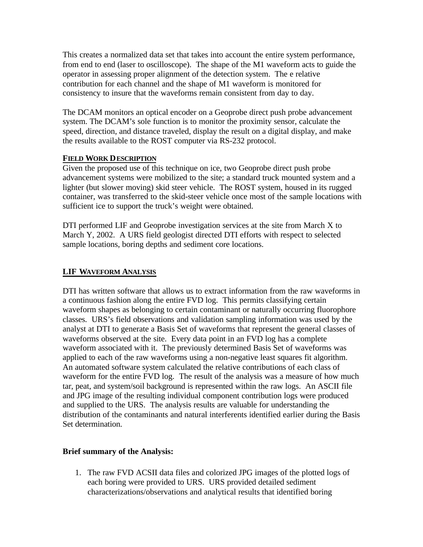This creates a normalized data set that takes into account the entire system performance, from end to end (laser to oscilloscope). The shape of the M1 waveform acts to guide the operator in assessing proper alignment of the detection system. The e relative contribution for each channel and the shape of M1 waveform is monitored for consistency to insure that the waveforms remain consistent from day to day.

The DCAM monitors an optical encoder on a Geoprobe direct push probe advancement system. The DCAM's sole function is to monitor the proximity sensor, calculate the speed, direction, and distance traveled, display the result on a digital display, and make the results available to the ROST computer via RS-232 protocol.

#### **FIELD WORK DESCRIPTION**

Given the proposed use of this technique on ice, two Geoprobe direct push probe advancement systems were mobilized to the site; a standard truck mounted system and a lighter (but slower moving) skid steer vehicle. The ROST system, housed in its rugged container, was transferred to the skid-steer vehicle once most of the sample locations with sufficient ice to support the truck's weight were obtained.

DTI performed LIF and Geoprobe investigation services at the site from March X to March Y, 2002. A URS field geologist directed DTI efforts with respect to selected sample locations, boring depths and sediment core locations.

#### **LIF WAVEFORM ANALYSIS**

DTI has written software that allows us to extract information from the raw waveforms in a continuous fashion along the entire FVD log. This permits classifying certain waveform shapes as belonging to certain contaminant or naturally occurring fluorophore classes. URS's field observations and validation sampling information was used by the analyst at DTI to generate a Basis Set of waveforms that represent the general classes of waveforms observed at the site. Every data point in an FVD log has a complete waveform associated with it. The previously determined Basis Set of waveforms was applied to each of the raw waveforms using a non-negative least squares fit algorithm. An automated software system calculated the relative contributions of each class of waveform for the entire FVD log. The result of the analysis was a measure of how much tar, peat, and system/soil background is represented within the raw logs. An ASCII file and JPG image of the resulting individual component contribution logs were produced and supplied to the URS. The analysis results are valuable for understanding the distribution of the contaminants and natural interferents identified earlier during the Basis Set determination.

#### **Brief summary of the Analysis:**

1. The raw FVD ACSII data files and colorized JPG images of the plotted logs of each boring were provided to URS. URS provided detailed sediment characterizations/observations and analytical results that identified boring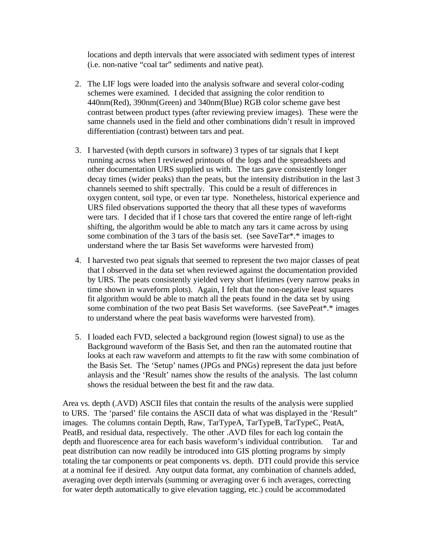locations and depth intervals that were associated with sediment types of interest (i.e. non-native "coal tar" sediments and native peat).

- 2. The LIF logs were loaded into the analysis software and several color-coding schemes were examined. I decided that assigning the color rendition to 440nm(Red), 390nm(Green) and 340nm(Blue) RGB color scheme gave best contrast between product types (after reviewing preview images). These were the same channels used in the field and other combinations didn't result in improved differentiation (contrast) between tars and peat.
- 3. I harvested (with depth cursors in software) 3 types of tar signals that I kept running across when I reviewed printouts of the logs and the spreadsheets and other documentation URS supplied us with. The tars gave consistently longer decay times (wider peaks) than the peats, but the intensity distribution in the last 3 channels seemed to shift spectrally. This could be a result of differences in oxygen content, soil type, or even tar type. Nonetheless, historical experience and URS filed observations supported the theory that all these types of waveforms were tars. I decided that if I chose tars that covered the entire range of left-right shifting, the algorithm would be able to match any tars it came across by using some combination of the 3 tars of the basis set. (see SaveTar\*.\* images to understand where the tar Basis Set waveforms were harvested from)
- 4. I harvested two peat signals that seemed to represent the two major classes of peat that I observed in the data set when reviewed against the documentation provided by URS. The peats consistently yielded very short lifetimes (very narrow peaks in time shown in waveform plots). Again, I felt that the non-negative least squares fit algorithm would be able to match all the peats found in the data set by using some combination of the two peat Basis Set waveforms. (see SavePeat\*.\* images to understand where the peat basis waveforms were harvested from).
- 5. I loaded each FVD, selected a background region (lowest signal) to use as the Background waveform of the Basis Set, and then ran the automated routine that looks at each raw waveform and attempts to fit the raw with some combination of the Basis Set. The 'Setup' names (JPGs and PNGs) represent the data just before anlaysis and the 'Result' names show the results of the analysis. The last column shows the residual between the best fit and the raw data.

Area vs. depth (.AVD) ASCII files that contain the results of the analysis were supplied to URS. The 'parsed' file contains the ASCII data of what was displayed in the 'Result" images. The columns contain Depth, Raw, TarTypeA, TarTypeB, TarTypeC, PeatA, PeatB, and residual data, respectively. The other .AVD files for each log contain the depth and fluorescence area for each basis waveform's individual contribution. Tar and peat distribution can now readily be introduced into GIS plotting programs by simply totaling the tar components or peat components vs. depth. DTI could provide this service at a nominal fee if desired. Any output data format, any combination of channels added, averaging over depth intervals (summing or averaging over 6 inch averages, correcting for water depth automatically to give elevation tagging, etc.) could be accommodated